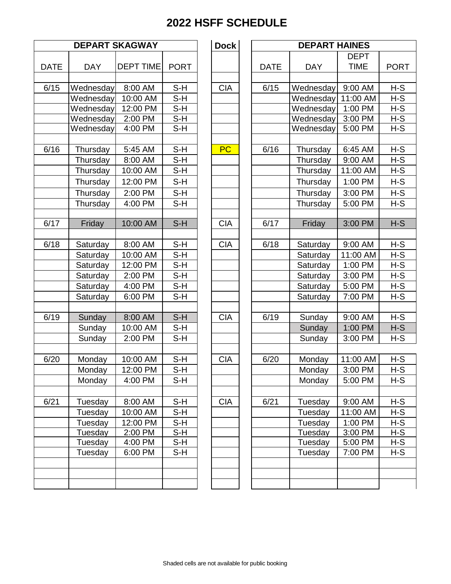|             |            | <b>DEPART SKAGWAY</b> |             | <b>Dock</b> |             | <b>DEPA</b>   |
|-------------|------------|-----------------------|-------------|-------------|-------------|---------------|
| <b>DATE</b> |            |                       | <b>PORT</b> |             |             |               |
|             | <b>DAY</b> | <b>DEPT TIME</b>      |             |             | <b>DATE</b> | <b>DAY</b>    |
| 6/15        | Wednesday  | 8:00 AM               | $S-H$       | <b>CIA</b>  | 6/15        | Wednes        |
|             | Wednesday  | 10:00 AM              | $S-H$       |             |             | Wednes        |
|             | Wednesday  | 12:00 PM              | $S-H$       |             |             | Wednes        |
|             | Wednesday  | 2:00 PM               | $S-H$       |             |             | Wednes        |
|             | Wednesday  | 4:00 PM               | $S-H$       |             |             | Wednes        |
| 6/16        | Thursday   | 5:45 AM               | $S-H$       | <b>PC</b>   | 6/16        | <b>Thursd</b> |
|             | Thursday   | 8:00 AM               | $S-H$       |             |             | <b>Thursd</b> |
|             | Thursday   | 10:00 AM              | $S-H$       |             |             | <b>Thursd</b> |
|             |            | 12:00 PM              | $S-H$       |             |             |               |
|             | Thursday   |                       |             |             |             | <b>Thursd</b> |
|             | Thursday   | 2:00 PM               | S-H         |             |             | <b>Thursd</b> |
|             | Thursday   | 4:00 PM               | $S-H$       |             |             | Thursd        |
| 6/17        | Friday     | 10:00 AM              | $S-H$       | <b>CIA</b>  | 6/17        | Frida         |
|             |            |                       |             |             |             |               |
| 6/18        | Saturday   | 8:00 AM               | $S-H$       | <b>CIA</b>  | 6/18        | Saturd        |
|             | Saturday   | 10:00 AM              | S-H         |             |             | Saturd        |
|             | Saturday   | 12:00 PM              | $S-H$       |             |             | Saturd        |
|             | Saturday   | 2:00 PM               | $S-H$       |             |             | Saturd        |
|             | Saturday   | 4:00 PM               | $S-H$       |             |             | Saturd        |
|             | Saturday   | 6:00 PM               | $S-H$       |             |             | Saturd        |
| 6/19        | Sunday     | 8:00 AM               | $S-H$       | <b>CIA</b>  | 6/19        | Sunda         |
|             | Sunday     | 10:00 AM              | S-H         |             |             | Sunda         |
|             | Sunday     | 2:00 PM               | $S-H$       |             |             | Sunda         |
|             |            |                       |             |             |             |               |
| 6/20        | Monday     | 10:00 AM              | $S-H$       | <b>CIA</b>  | 6/20        | Monda         |
|             | Monday     | 12:00 PM              | S-H         |             |             | Monda         |
|             | Monday     | 4:00 PM               | S-H         |             |             | Monda         |
| 6/21        | Tuesday    | 8:00 AM               | S-H         | <b>CIA</b>  | 6/21        | Tuesda        |
|             | Tuesday    | 10:00 AM              | $S-H$       |             |             | Tuesda        |
|             | Tuesday    | 12:00 PM              | S-H         |             |             | Tuesda        |
|             | Tuesday    | 2:00 PM               | S-H         |             |             | Tuesda        |
|             | Tuesday    | 4:00 PM               | S-H         |             |             | Tuesda        |
|             | Tuesday    | 6:00 PM               | $S-H$       |             |             | Tuesda        |
|             |            |                       |             |             |             |               |
|             |            |                       |             |             |             |               |
|             |            |                       |             |             |             |               |

|             |            | <b>DEPART SKAGWAY</b> |                   | <b>Dock</b> |             | <b>DEPART HAINES</b> |             |             |
|-------------|------------|-----------------------|-------------------|-------------|-------------|----------------------|-------------|-------------|
|             |            |                       |                   |             |             |                      | <b>DEPT</b> |             |
| <b>DATE</b> | <b>DAY</b> | <b>DEPT TIME</b>      | <b>PORT</b>       |             | <b>DATE</b> | <b>DAY</b>           | <b>TIME</b> | <b>PORT</b> |
|             |            |                       |                   |             |             |                      |             |             |
| 6/15        | Wednesday  | 8:00 AM               | $S-H$             | <b>CIA</b>  | 6/15        | Wednesday            | 9:00 AM     | $H-S$       |
|             | Wednesday  | 10:00 AM              | $S-H$             |             |             | Wednesday            | 11:00 AM    | $H-S$       |
|             | Wednesday  | 12:00 PM              | $S-H$             |             |             | Wednesday            | 1:00 PM     | $H-S$       |
|             | Wednesday  | 2:00 PM               | $\overline{S}$ -H |             |             | Wednesday            | 3:00 PM     | $H-S$       |
|             | Wednesday  | 4:00 PM               | S-H               |             |             | Wednesday            | 5:00 PM     | $H-S$       |
|             |            |                       |                   |             |             |                      |             |             |
| 6/16        | Thursday   | 5:45 AM               | $S-H$             | <b>PC</b>   | 6/16        | Thursday             | 6:45 AM     | $H-S$       |
|             | Thursday   | 8:00 AM               | $S-H$             |             |             | Thursday             | 9:00 AM     | $H-S$       |
|             | Thursday   | 10:00 AM              | $S-H$             |             |             | Thursday             | 11:00 AM    | $H-S$       |
|             | Thursday   | 12:00 PM              | $S-H$             |             |             | Thursday             | 1:00 PM     | $H-S$       |
|             | Thursday   | 2:00 PM               | $S-H$             |             |             | Thursday             | 3:00 PM     | $H-S$       |
|             | Thursday   | 4:00 PM               | $S-H$             |             |             | Thursday             | 5:00 PM     | $H-S$       |
|             |            |                       |                   |             |             |                      |             |             |
| 6/17        | Friday     | 10:00 AM              | $S-H$             | <b>CIA</b>  | 6/17        | Friday               | 3:00 PM     | $H-S$       |
|             |            |                       |                   |             |             |                      |             |             |
| 6/18        | Saturday   | 8:00 AM               | $S-H$             | <b>CIA</b>  | 6/18        | Saturday             | 9:00 AM     | $H-S$       |
|             | Saturday   | 10:00 AM              | $S-H$             |             |             | Saturday             | 11:00 AM    | $H-S$       |
|             | Saturday   | 12:00 PM              | $S-H$             |             |             | Saturday             | 1:00 PM     | $H-S$       |
|             | Saturday   | 2:00 PM               | $S-H$             |             |             | Saturday             | 3:00 PM     | $H-S$       |
|             | Saturday   | 4:00 PM               | $S-H$             |             |             | Saturday             | 5:00 PM     | $H-S$       |
|             | Saturday   | 6:00 PM               | S-H               |             |             | Saturday             | 7:00 PM     | $H-S$       |
|             |            |                       |                   |             |             |                      |             |             |
| 6/19        | Sunday     | 8:00 AM               | $S-H$             | <b>CIA</b>  | 6/19        | Sunday               | 9:00 AM     | $H-S$       |
|             | Sunday     | 10:00 AM              | S-H               |             |             | Sunday               | 1:00 PM     | $H-S$       |
|             | Sunday     | 2:00 PM               | $S-H$             |             |             | Sunday               | 3:00 PM     | $H-S$       |
|             |            |                       |                   |             |             |                      |             |             |
| 6/20        | Monday     | 10:00 AM              | $S-H$             | <b>CIA</b>  | 6/20        | Monday               | 11:00 AM    | $H-S$       |
|             | Monday     | 12:00 PM              | $S-H$             |             |             | Monday               | 3:00 PM     | $H-S$       |
|             | Monday     | 4:00 PM               | S-H               |             |             | Monday               | 5:00 PM     | $H-S$       |
|             |            |                       |                   |             |             |                      |             |             |
| 6/21        | Tuesday    | 8:00 AM               | $S-H$             | <b>CIA</b>  | 6/21        | Tuesday              | 9:00 AM     | $H-S$       |
|             | Tuesday    | 10:00 AM              | S-H               |             |             | Tuesday              | 11:00 AM    | $H-S$       |
|             | Tuesday    | 12:00 PM              | $S-H$             |             |             | Tuesday              | 1:00 PM     | $H-S$       |
|             | Tuesday    | 2:00 PM               | $S-H$             |             |             | Tuesday              | 3:00 PM     | $H-S$       |
|             | Tuesday    | 4:00 PM               | $S-H$             |             |             | Tuesday              | 5:00 PM     | H-S         |
|             | Tuesday    | 6:00 PM               | $S-H$             |             |             | Tuesday              | 7:00 PM     | $H-S$       |
|             |            |                       |                   |             |             |                      |             |             |
|             |            |                       |                   |             |             |                      |             |             |
|             |            |                       |                   |             |             |                      |             |             |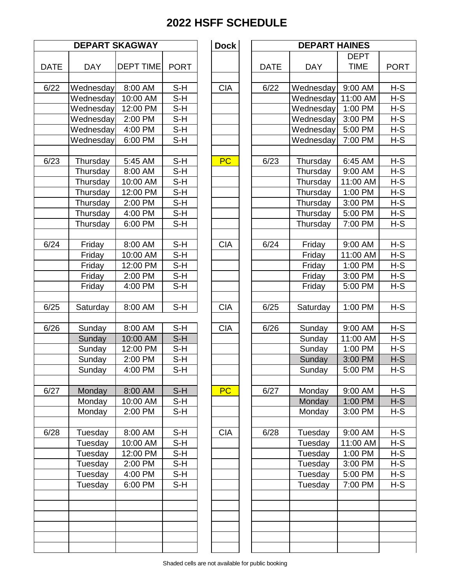|             |            | <b>DEPART SKAGWAY</b> |             | <b>Dock</b> |             | <b>DEPA</b>      |
|-------------|------------|-----------------------|-------------|-------------|-------------|------------------|
| <b>DATE</b> | <b>DAY</b> | <b>DEPT TIME</b>      | <b>PORT</b> |             | <b>DATE</b> | <b>DAY</b>       |
|             |            |                       |             |             |             |                  |
| 6/22        | Wednesday  | 8:00 AM               | $S-H$       | <b>CIA</b>  | 6/22        | Wednes           |
|             | Wednesday  | 10:00 AM              | $S-H$       |             |             | Wednes           |
|             | Wednesday  | 12:00 PM              | $S-H$       |             |             | Wednes           |
|             | Wednesday  | 2:00 PM               | $S-H$       |             |             | Wednes           |
|             | Wednesday  | 4:00 PM               | $S-H$       |             |             | Wednes           |
|             | Wednesday  | 6:00 PM               | $S-H$       |             |             | Wednes           |
| 6/23        | Thursday   | 5:45 AM               | $S-H$       | PC          | 6/23        | <b>Thursd</b>    |
|             | Thursday   | 8:00 AM               | S-H         |             |             | <b>Thursd</b>    |
|             | Thursday   | 10:00 AM              | $S-H$       |             |             | <b>Thursd</b>    |
|             | Thursday   | 12:00 PM              | $S-H$       |             |             | <b>Thursd</b>    |
|             | Thursday   | 2:00 PM               | $S-H$       |             |             | <b>Thursd</b>    |
|             | Thursday   | 4:00 PM               | $S-H$       |             |             | <b>Thursd</b>    |
|             | Thursday   | 6:00 PM               | $S-H$       |             |             | <b>Thursd</b>    |
|             |            |                       |             |             |             |                  |
| 6/24        | Friday     | 8:00 AM               | $S-H$       | <b>CIA</b>  | 6/24        | Frida            |
|             | Friday     | 10:00 AM              | S-H         |             |             | Frida            |
|             | Friday     | 12:00 PM              | $S-H$       |             |             | Frida            |
|             | Friday     | 2:00 PM               | $S-H$       |             |             | Frida            |
|             | Friday     | 4:00 PM               | $S-H$       |             |             | Frida            |
|             |            |                       |             |             |             |                  |
| 6/25        | Saturday   | 8:00 AM               | $S-H$       | <b>CIA</b>  | 6/25        | Saturd           |
| 6/26        | Sunday     | 8:00 AM               | $S-H$       | <b>CIA</b>  | 6/26        | Sunda            |
|             | Sunday     | 10:00 AM              | $S-H$       |             |             | Sunda            |
|             | Sunday     | 12:00 PM              | $S-H$       |             |             | Sunda            |
|             | Sunday     | 2:00 PM               | $S-H$       |             |             | Sunda            |
|             | Sunday     | 4:00 PM               | S-H         |             |             | Sunda            |
|             |            |                       |             |             |             |                  |
| 6/27        | Monday     | 8:00 AM               | $S-H$       | PC          | 6/27        | Monda            |
|             | Monday     | 10:00 AM              | S-H         |             |             | Monda            |
|             | Monday     | 2:00 PM               | $S-H$       |             |             | Monda            |
|             |            |                       |             |             |             |                  |
| 6/28        | Tuesday    | 8:00 AM               | S-H<br>S-H  | <b>CIA</b>  | 6/28        | Tuesda           |
|             | Tuesday    | 10:00 AM              |             |             |             | Tuesda<br>Tuesda |
|             | Tuesday    | 12:00 PM              | S-H         |             |             |                  |
|             | Tuesday    | 2:00 PM               | $S-H$       |             |             | Tuesda           |
|             | Tuesday    | 4:00 PM               | $S-H$       |             |             | Tuesda           |
|             | Tuesday    | 6:00 PM               | $S-H$       |             |             | Tuesda           |
|             |            |                       |             |             |             |                  |
|             |            |                       |             |             |             |                  |
|             |            |                       |             |             |             |                  |
|             |            |                       |             |             |             |                  |

|                   |            | <b>DEPART SKAGWAY</b> |             | <b>Dock</b> |             | <b>DEPART HAINES</b> |             |             |
|-------------------|------------|-----------------------|-------------|-------------|-------------|----------------------|-------------|-------------|
|                   |            |                       |             |             |             |                      | <b>DEPT</b> |             |
| <b>DATE</b>       | <b>DAY</b> | <b>DEPT TIME</b>      | <b>PORT</b> |             | <b>DATE</b> | <b>DAY</b>           | <b>TIME</b> | <b>PORT</b> |
| $\overline{6}/22$ | Wednesday  | 8:00 AM               | $S-H$       | <b>CIA</b>  | 6/22        | Wednesday            | 9:00 AM     | $H-S$       |
|                   | Wednesday  | 10:00 AM              | $S-H$       |             |             | Wednesday            | 11:00 AM    | $H-S$       |
|                   | Wednesday  | 12:00 PM              | $S-H$       |             |             | Wednesday            | 1:00 PM     | $H-S$       |
|                   | Wednesday  | 2:00 PM               | $S-H$       |             |             | Wednesday            | 3:00 PM     | $H-S$       |
|                   | Wednesday  | 4:00 PM               | $S-H$       |             |             | Wednesday            | 5:00 PM     | $H-S$       |
|                   | Wednesday  | 6:00 PM               | $S-H$       |             |             | Wednesday            | 7:00 PM     | $H-S$       |
|                   |            |                       |             |             |             |                      |             |             |
| 6/23              | Thursday   | 5:45 AM               | $S-H$       | PC          | 6/23        | Thursday             | 6:45 AM     | $H-S$       |
|                   | Thursday   | 8:00 AM               | $S-H$       |             |             | Thursday             | 9:00 AM     | $H-S$       |
|                   | Thursday   | 10:00 AM              | $S-H$       |             |             | Thursday             | 11:00 AM    | $H-S$       |
|                   | Thursday   | 12:00 PM              | $S-H$       |             |             | Thursday             | 1:00 PM     | H-S         |
|                   | Thursday   | 2:00 PM               | $S-H$       |             |             | Thursday             | 3:00 PM     | $H-S$       |
|                   | Thursday   | 4:00 PM               | $S-H$       |             |             | Thursday             | 5:00 PM     | $H-S$       |
|                   | Thursday   | 6:00 PM               | $S-H$       |             |             | Thursday             | 7:00 PM     | $H-S$       |
|                   |            |                       |             |             |             |                      |             |             |
| 6/24              | Friday     | 8:00 AM               | $S-H$       | <b>CIA</b>  | 6/24        | Friday               | 9:00 AM     | $H-S$       |
|                   | Friday     | 10:00 AM              | $S-H$       |             |             | Friday               | 11:00 AM    | $H-S$       |
|                   | Friday     | 12:00 PM              | $S-H$       |             |             | Friday               | 1:00 PM     | H-S         |
|                   | Friday     | 2:00 PM               | $S-H$       |             |             | Friday               | 3:00 PM     | $H-S$       |
|                   | Friday     | 4:00 PM               | $S-H$       |             |             | Friday               | 5:00 PM     | $H-S$       |
|                   |            |                       |             |             |             |                      |             |             |
| 6/25              | Saturday   | 8:00 AM               | $S-H$       | <b>CIA</b>  | 6/25        | Saturday             | 1:00 PM     | $H-S$       |
|                   |            |                       |             |             |             |                      |             |             |
| 6/26              | Sunday     | 8:00 AM               | $S-H$       | <b>CIA</b>  | 6/26        | Sunday               | 9:00 AM     | $H-S$       |
|                   | Sunday     | 10:00 AM              | $S-H$       |             |             | Sunday               | 11:00 AM    | $H-S$       |
|                   | Sunday     | 12:00 PM              | $S-H$       |             |             | Sunday               | 1:00 PM     | $H-S$       |
|                   | Sunday     | 2:00 PM               | $S-H$       |             |             | Sunday               | 3:00 PM     | $H-S$       |
|                   | Sunday     | 4:00 PM               | $S-H$       |             |             | Sunday               | 5:00 PM     | $H-S$       |
|                   |            |                       |             |             |             |                      |             |             |
| 6/27              | Monday     | 8:00 AM               | $S-H$       | <b>PC</b>   | 6/27        | Monday               | 9:00 AM     | $H-S$       |
|                   | Monday     | 10:00 AM              | $S-H$       |             |             | Monday               | 1:00 PM     | $H-S$       |
|                   | Monday     | 2:00 PM               | $S-H$       |             |             | Monday               | 3:00 PM     | $H-S$       |
|                   |            |                       |             |             |             |                      |             |             |
| 6/28              | Tuesday    | 8:00 AM               | $S-H$       | <b>CIA</b>  | 6/28        | Tuesday              | 9:00 AM     | $H-S$       |
|                   | Tuesday    | 10:00 AM              | $S-H$       |             |             | Tuesday              | 11:00 AM    | $H-S$       |
|                   | Tuesday    | 12:00 PM              | $S-H$       |             |             | Tuesday              | 1:00 PM     | $H-S$       |
|                   | Tuesday    | 2:00 PM               | $S-H$       |             |             | Tuesday              | 3:00 PM     | $H-S$       |
|                   | Tuesday    | 4:00 PM               | $S-H$       |             |             | Tuesday              | 5:00 PM     | $H-S$       |
|                   | Tuesday    | 6:00 PM               | $S-H$       |             |             | Tuesday              | 7:00 PM     | $H-S$       |
|                   |            |                       |             |             |             |                      |             |             |
|                   |            |                       |             |             |             |                      |             |             |
|                   |            |                       |             |             |             |                      |             |             |
|                   |            |                       |             |             |             |                      |             |             |
|                   |            |                       |             |             |             |                      |             |             |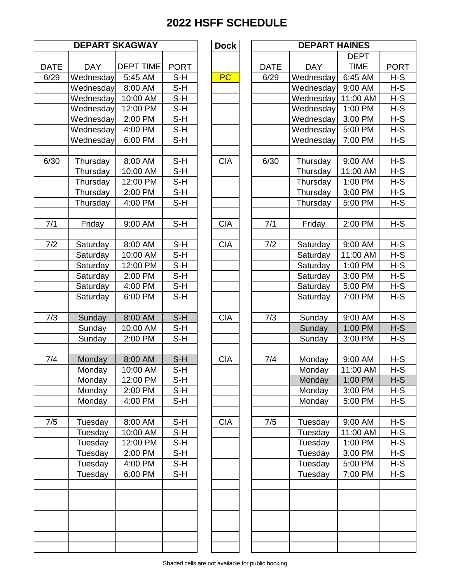|             |                        | <b>DEPART SKAGWAY</b>       |                    | <b>Dock</b>       |             | <b>DEPA</b>      |
|-------------|------------------------|-----------------------------|--------------------|-------------------|-------------|------------------|
|             |                        |                             |                    |                   |             |                  |
| <b>DATE</b> | <b>DAY</b>             | <b>DEPT TIME</b><br>5:45 AM | <b>PORT</b><br>S-H | PC                | <b>DATE</b> | <b>DAY</b>       |
| 6/29        | Wednesday<br>Wednesday | 8:00 AM                     | S-H                |                   | 6/29        | Wednes<br>Wednes |
|             |                        |                             | $S-H$              |                   |             | Wednes           |
|             | Wednesday              | 10:00 AM                    | $S-H$              |                   |             |                  |
|             | Wednesday              | 12:00 PM                    |                    |                   |             | Wednes           |
|             | Wednesday              | 2:00 PM<br>4:00 PM          | $S-H$<br>$S-H$     |                   |             | Wednes           |
|             | Wednesday              |                             |                    |                   |             | Wednes           |
|             | Wednesday              | 6:00 PM                     | $S-H$              |                   |             | Wednes           |
| 6/30        | Thursday               | 8:00 AM                     | $S-H$              | <b>CIA</b>        | 6/30        | <b>Thursd</b>    |
|             | Thursday               | 10:00 AM                    | $S-H$              |                   |             | <b>Thursd</b>    |
|             | Thursday               | 12:00 PM                    | $S-H$              |                   |             | <b>Thursd</b>    |
|             | Thursday               | 2:00 PM                     | $S-H$              |                   |             | <b>Thursd</b>    |
|             | Thursday               | 4:00 PM                     | S-H                |                   |             | <b>Thursd</b>    |
|             |                        |                             |                    |                   |             |                  |
| 7/1         | Friday                 | 9:00 AM                     | $S-H$              | <b>CIA</b>        | 7/1         | Frida            |
| 7/2         | Saturday               | 8:00 AM                     | $S-H$              | <b>CIA</b>        | 7/2         | Saturd           |
|             | Saturday               | 10:00 AM                    | S-H                |                   |             | Saturd           |
|             | Saturday               | 12:00 PM                    | $S-H$              |                   |             | Saturd           |
|             | Saturday               | 2:00 PM                     | S-H                |                   |             | Saturd           |
|             | Saturday               | 4:00 PM                     | $S-H$              |                   |             | Saturd           |
|             | Saturday               | 6:00 PM                     | $S-H$              |                   |             | Saturd           |
|             |                        |                             |                    |                   |             |                  |
| 7/3         | Sunday                 | 8:00 AM                     | $S-H$              | <b>CIA</b>        | 7/3         | Sunda            |
|             | Sunday                 | 10:00 AM                    | $S-H$              |                   |             | Sunda            |
|             | Sunday                 | 2:00 PM                     | $S-H$              |                   |             | Sunda            |
| 7/4         | Monday                 | 8:00 AM                     | $S-H$              | <b>CIA</b>        | 7/4         | Monda            |
|             | Monday                 | 10:00 AM                    | $S-H$              |                   |             | Monda            |
|             | Monday                 | 12:00 PM                    | S-H                |                   |             | Monda            |
|             | Monday                 | 2:00 PM                     | $S-H$              |                   |             | Monda            |
|             | Monday                 | 4:00 PM                     | $S-H$              |                   |             | Monda            |
|             |                        |                             |                    |                   |             |                  |
| 7/5         | Tuesday                | 8:00 AM                     | $S-H$              | $\overline{C}$ IA | 7/5         | Tuesda           |
|             | Tuesday                | 10:00 AM                    | S-H                |                   |             | Tuesda           |
|             | Tuesday                | 12:00 PM                    | S-H                |                   |             | Tuesda           |
|             | Tuesday                | 2:00 PM                     | $S-H$              |                   |             | Tuesda           |
|             | Tuesday                | 4:00 PM                     | S-H                |                   |             | Tuesda           |
|             | Tuesday                | 6:00 PM                     | S-H                |                   |             | Tuesda           |
|             |                        |                             |                    |                   |             |                  |
|             |                        |                             |                    |                   |             |                  |
|             |                        |                             |                    |                   |             |                  |
|             |                        |                             |                    |                   |             |                  |

|             |            | <b>DEPART SKAGWAY</b> |             | <b>Dock</b> |             | <b>DEPART HAINES</b> |             |             |
|-------------|------------|-----------------------|-------------|-------------|-------------|----------------------|-------------|-------------|
|             |            |                       |             |             |             |                      | <b>DEPT</b> |             |
| <b>DATE</b> | <b>DAY</b> | <b>DEPT TIME</b>      | <b>PORT</b> |             | <b>DATE</b> | <b>DAY</b>           | <b>TIME</b> | <b>PORT</b> |
| 6/29        | Wednesday  | 5:45 AM               | $S-H$       | <b>PC</b>   | 6/29        | Wednesday            | 6:45 AM     | $H-S$       |
|             | Wednesday  | 8:00 AM               | $S-H$       |             |             | Wednesday            | 9:00 AM     | $H-S$       |
|             | Wednesday  | 10:00 AM              | $S-H$       |             |             | Wednesday            | 11:00 AM    | $H-S$       |
|             | Wednesday  | 12:00 PM              | $S-H$       |             |             | Wednesday            | 1:00 PM     | $H-S$       |
|             | Wednesday  | 2:00 PM               | $S-H$       |             |             | Wednesday            | 3:00 PM     | $H-S$       |
|             | Wednesday  | 4:00 PM               | $S-H$       |             |             | Wednesday            | 5:00 PM     | $H-S$       |
|             | Wednesday  | 6:00 PM               | $S-H$       |             |             | Wednesday            | 7:00 PM     | $H-S$       |
|             |            |                       |             |             |             |                      |             |             |
| 6/30        | Thursday   | 8:00 AM               | $S-H$       | <b>CIA</b>  | 6/30        | Thursday             | 9:00 AM     | $H-S$       |
|             | Thursday   | 10:00 AM              | $S-H$       |             |             | Thursday             | 11:00 AM    | $H-S$       |
|             | Thursday   | 12:00 PM              | $S-H$       |             |             | Thursday             | 1:00 PM     | $H-S$       |
|             | Thursday   | 2:00 PM               | $S-H$       |             |             | Thursday             | 3:00 PM     | $H-S$       |
|             | Thursday   | 4:00 PM               | $S-H$       |             |             | Thursday             | 5:00 PM     | $H-S$       |
|             |            |                       |             |             |             |                      |             |             |
| 7/1         | Friday     | 9:00 AM               | $S-H$       | <b>CIA</b>  | 7/1         | Friday               | 2:00 PM     | $H-S$       |
|             |            |                       |             |             |             |                      |             |             |
| 7/2         | Saturday   | 8:00 AM               | $S-H$       | <b>CIA</b>  | 7/2         | Saturday             | 9:00 AM     | $H-S$       |
|             | Saturday   | 10:00 AM              | $S-H$       |             |             | Saturday             | 11:00 AM    | $H-S$       |
|             | Saturday   | 12:00 PM              | $S-H$       |             |             | Saturday             | 1:00 PM     | $H-S$       |
|             | Saturday   | 2:00 PM               | $S-H$       |             |             | Saturday             | 3:00 PM     | $H-S$       |
|             | Saturday   | 4:00 PM               | $S-H$       |             |             | Saturday             | 5:00 PM     | $H-S$       |
|             | Saturday   | 6:00 PM               | S-H         |             |             | Saturday             | 7:00 PM     | $H-S$       |
|             |            |                       |             |             |             |                      |             |             |
| 7/3         | Sunday     | 8:00 AM               | $S-H$       | <b>CIA</b>  | 7/3         | Sunday               | 9:00 AM     | $H-S$       |
|             | Sunday     | 10:00 AM              | $S-H$       |             |             | Sunday               | 1:00 PM     | $H-S$       |
|             | Sunday     | 2:00 PM               | $S-H$       |             |             | Sunday               | 3:00 PM     | $H-S$       |
|             |            |                       |             |             |             |                      |             |             |
| 7/4         | Monday     | 8:00 AM               | $S-H$       | <b>CIA</b>  | 7/4         | Monday               | 9:00 AM     | $H-S$       |
|             | Monday     | 10:00 AM              | $S-H$       |             |             | Monday               | 11:00 AM    | $H-S$       |
|             | Monday     | 12:00 PM              | S-H         |             |             | Monday               | 1:00 PM     | $H-S$       |
|             | Monday     | 2:00 PM               | $S-H$       |             |             | Monday               | 3:00 PM     | H-S         |
|             | Monday     | 4:00 PM               | $S-H$       |             |             | Monday               | 5:00 PM     | $H-S$       |
|             |            |                       |             |             |             |                      |             |             |
| 7/5         | Tuesday    | 8:00 AM               | $S-H$       | <b>CIA</b>  | 7/5         | Tuesday              | 9:00 AM     | $H-S$       |
|             | Tuesday    | 10:00 AM              | $S-H$       |             |             | Tuesday              | 11:00 AM    | $H-S$       |
|             | Tuesday    | 12:00 PM              | $S-H$       |             |             | Tuesday              | 1:00 PM     | $H-S$       |
|             | Tuesday    | 2:00 PM               | S-H         |             |             | Tuesday              | 3:00 PM     | $H-S$       |
|             | Tuesday    | 4:00 PM               | $S-H$       |             |             | Tuesday              | 5:00 PM     | $H-S$       |
|             | Tuesday    | 6:00 PM               | S-H         |             |             | Tuesday              | 7:00 PM     | $H-S$       |
|             |            |                       |             |             |             |                      |             |             |
|             |            |                       |             |             |             |                      |             |             |
|             |            |                       |             |             |             |                      |             |             |
|             |            |                       |             |             |             |                      |             |             |
|             |            |                       |             |             |             |                      |             |             |
|             |            |                       |             |             |             |                      |             |             |
|             |            |                       |             |             |             |                      |             |             |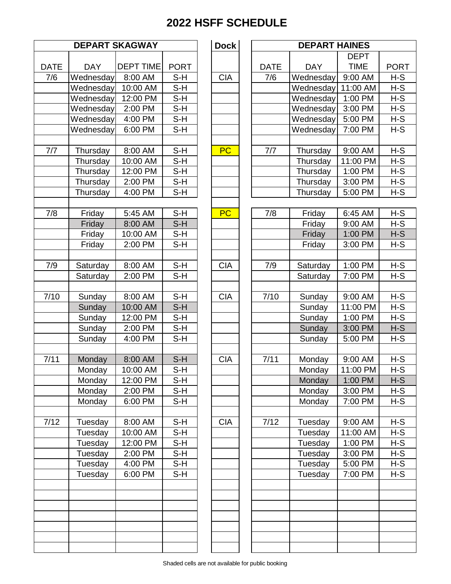| <b>DEPART SKAGWAY</b> |                         |                             | <b>Dock</b>        |            | <b>DEPA</b>        |                      |
|-----------------------|-------------------------|-----------------------------|--------------------|------------|--------------------|----------------------|
|                       |                         |                             |                    |            |                    |                      |
| <b>DATE</b><br>7/6    | <b>DAY</b><br>Wednesday | <b>DEPT TIME</b><br>8:00 AM | <b>PORT</b><br>S-H | <b>CIA</b> | <b>DATE</b><br>7/6 | <b>DAY</b><br>Wednes |
|                       | Wednesday               | $10:00$ AM                  | S-H                |            |                    | Wednes               |
|                       | Wednesday               | 12:00 PM                    | $S-H$              |            |                    | Wednes               |
|                       | Wednesday               | 2:00 PM                     | $S-H$              |            |                    | Wednes               |
|                       | Wednesday               | 4:00 PM                     | $S-H$              |            |                    | Wednes               |
|                       | Wednesday               | 6:00 PM                     | $S-H$              |            |                    | Wednes               |
|                       |                         |                             |                    |            |                    |                      |
| 7/7                   | Thursday                | 8:00 AM                     | $S-H$              | <b>PC</b>  | 7/7                | <b>Thursd</b>        |
|                       | Thursday                | 10:00 AM                    | $S-H$              |            |                    | <b>Thursd</b>        |
|                       | Thursday                | 12:00 PM                    | $S-H$              |            |                    | <b>Thursd</b>        |
|                       | Thursday                | 2:00 PM                     | $S-H$              |            |                    | <b>Thursd</b>        |
|                       | Thursday                | 4:00 PM                     | $S-H$              |            |                    | <b>Thursd</b>        |
|                       |                         |                             |                    |            |                    |                      |
| 7/8                   | Friday                  | 5:45 AM                     | $S-H$              | PC         | 7/8                | Frida                |
|                       | Friday                  | 8:00 AM                     | $S-H$              |            |                    | Friday               |
|                       | Friday                  | 10:00 AM                    | $S-H$              |            |                    | Frida                |
|                       | Friday                  | 2:00 PM                     | S-H                |            |                    | Frida                |
|                       |                         |                             | $S-H$              | <b>CIA</b> |                    |                      |
| 7/9                   | Saturday                | 8:00 AM<br>2:00 PM          | S-H                |            | 7/9                | Saturd<br>Saturd     |
|                       | Saturday                |                             |                    |            |                    |                      |
| 7/10                  | Sunday                  | 8:00 AM                     | $S-H$              | <b>CIA</b> | 7/10               | Sunda                |
|                       | Sunday                  | 10:00 AM                    | $S-H$              |            |                    | Sunda                |
|                       | Sunday                  | 12:00 PM                    | S-H                |            |                    | Sunda                |
|                       | Sunday                  | 2:00 PM                     | $S-H$              |            |                    | Sunda                |
|                       | Sunday                  | 4:00 PM                     | $S-H$              |            |                    | Sunda                |
|                       |                         |                             |                    |            |                    |                      |
| 7/11                  | Monday                  | 8:00 AM                     | $S-H$              | <b>CIA</b> | $\frac{1}{7}$ /11  | Monda                |
|                       | Monday                  | 10:00 AM                    | $S-H$              |            |                    | Monda                |
|                       | Monday                  | 12:00 PM                    | S-H                |            |                    | Monda                |
|                       | Monday                  | 2:00 PM                     | $S-H$              |            |                    | Monda                |
|                       | Monday                  | 6:00 PM                     | S-H                |            |                    | Monda                |
|                       |                         |                             |                    |            |                    |                      |
| 7/12                  | Tuesday                 | 8:00 AM                     | $S-H$              | <b>CIA</b> | $7/12$             | Tuesda               |
|                       | Tuesday                 | 10:00 AM                    | S-H                |            |                    | Tuesda               |
|                       | Tuesday                 | 12:00 PM                    | S-H                |            |                    | Tuesda               |
|                       | Tuesday                 | 2:00 PM                     | $S-H$              |            |                    | Tuesda               |
|                       | Tuesday                 | 4:00 PM                     | S-H                |            |                    | Tuesda               |
|                       | Tuesday                 | 6:00 PM                     | $S-H$              |            |                    | Tuesda               |
|                       |                         |                             |                    |            |                    |                      |
|                       |                         |                             |                    |            |                    |                      |
|                       |                         |                             |                    |            |                    |                      |
|                       |                         |                             |                    |            |                    |                      |
|                       |                         |                             |                    |            |                    |                      |

|                   |            | <b>DEPART SKAGWAY</b> |                | <b>Dock</b> |             | <b>DEPART HAINES</b> |             |                |
|-------------------|------------|-----------------------|----------------|-------------|-------------|----------------------|-------------|----------------|
|                   |            |                       |                |             |             |                      | <b>DEPT</b> |                |
| <b>DATE</b>       | <b>DAY</b> | <b>DEPT TIME</b>      | <b>PORT</b>    |             | <b>DATE</b> | <b>DAY</b>           | <b>TIME</b> | <b>PORT</b>    |
| 7/6               | Wednesday  | 8:00 AM               | S-H            | <b>CIA</b>  | 7/6         | Wednesday            | 9:00 AM     | $H-S$          |
|                   | Wednesday  | 10:00 AM              | $S-H$          |             |             | Wednesday            | 11:00 AM    | $H-S$          |
|                   | Wednesday  | 12:00 PM              | $S-H$          |             |             | Wednesday            | 1:00 PM     | $H-S$          |
|                   | Wednesday  | 2:00 PM               | $S-H$          |             |             | Wednesday            | 3:00 PM     | $H-S$          |
|                   | Wednesday  | 4:00 PM               | $S-H$          |             |             | Wednesday            | 5:00 PM     | H-S            |
|                   | Wednesday  | 6:00 PM               | $S-H$          |             |             | Wednesday            | 7:00 PM     | $H-S$          |
|                   |            |                       |                |             |             |                      |             |                |
| $7/7$             | Thursday   | 8:00 AM               | $S-H$          | <b>PC</b>   | $7/7$       | Thursday             | 9:00 AM     | $H-S$          |
|                   | Thursday   | 10:00 AM              | $S-H$          |             |             | Thursday             | 11:00 PM    | $H-S$          |
|                   | Thursday   | 12:00 PM              | $S-H$          |             |             | Thursday             | 1:00 PM     | $H-S$          |
|                   | Thursday   | 2:00 PM               | $S-H$          |             |             | Thursday             | 3:00 PM     | $H-S$          |
|                   | Thursday   | 4:00 PM               | $S-H$          |             |             | Thursday             | 5:00 PM     | $H-S$          |
|                   |            |                       |                |             |             |                      |             |                |
| 7/8               | Friday     | 5:45 AM               | $S-H$          | PC          | 7/8         | Friday               | 6:45 AM     | $H-S$          |
|                   | Friday     | 8:00 AM               | $S-H$          |             |             | Friday               | 9:00 AM     | $H-S$          |
|                   | Friday     | 10:00 AM              | $S-H$          |             |             | Friday               | 1:00 PM     | $H-S$          |
|                   | Friday     | 2:00 PM               | $S-H$          |             |             | Friday               | 3:00 PM     | $H-S$          |
|                   |            |                       |                |             |             |                      |             |                |
| 7/9               | Saturday   | 8:00 AM               | $S-H$          | <b>CIA</b>  | 7/9         | Saturday             | 1:00 PM     | $H-S$          |
|                   | Saturday   | 2:00 PM               | $S-H$          |             |             | Saturday             | 7:00 PM     | $H-S$          |
|                   |            |                       |                |             |             |                      |             |                |
| 7/10              | Sunday     | 8:00 AM               | $S-H$          | <b>CIA</b>  | 7/10        | Sunday               | 9:00 AM     | $H-S$          |
|                   | Sunday     | 10:00 AM              | $S-H$          |             |             | Sunday               | 11:00 PM    | $H-S$<br>$H-S$ |
|                   | Sunday     | 12:00 PM              | $S-H$<br>$S-H$ |             |             | Sunday               | 1:00 PM     |                |
|                   | Sunday     | 2:00 PM<br>4:00 PM    | $S-H$          |             |             | Sunday               | 3:00 PM     | $H-S$<br>$H-S$ |
|                   | Sunday     |                       |                |             |             | Sunday               | 5:00 PM     |                |
| $\frac{1}{7}$ /11 | Monday     | 8:00 AM               | $S-H$          | <b>CIA</b>  | 7/11        | Monday               | 9:00 AM     | $H-S$          |
|                   | Monday     | 10:00 AM              | S-H            |             |             | Monday               | 11:00 PM    | $H-S$          |
|                   | Monday     | 12:00 PM              | S-H            |             |             | Monday               | 1:00 PM     | $H-S$          |
|                   | Monday     | 2:00 PM               | S-H            |             |             | Monday               | 3:00 PM     | $H-S$          |
|                   | Monday     | 6:00 PM               | $S-H$          |             |             | Monday               | 7:00 PM     | $H-S$          |
|                   |            |                       |                |             |             |                      |             |                |
| 7/12              | Tuesday    | 8:00 AM               | S-H            | <b>CIA</b>  | 7/12        | Tuesday              | 9:00 AM     | $H-S$          |
|                   | Tuesday    | 10:00 AM              | $S-H$          |             |             | Tuesday              | 11:00 AM    | $H-S$          |
|                   | Tuesday    | 12:00 PM              | S-H            |             |             | Tuesday              | 1:00 PM     | $H-S$          |
|                   | Tuesday    | 2:00 PM               | $S-H$          |             |             | Tuesday              | 3:00 PM     | $H-S$          |
|                   | Tuesday    | 4:00 PM               | $S-H$          |             |             | Tuesday              | 5:00 PM     | $H-S$          |
|                   | Tuesday    | 6:00 PM               | $S-H$          |             |             | Tuesday              | 7:00 PM     | $H-S$          |
|                   |            |                       |                |             |             |                      |             |                |
|                   |            |                       |                |             |             |                      |             |                |
|                   |            |                       |                |             |             |                      |             |                |
|                   |            |                       |                |             |             |                      |             |                |
|                   |            |                       |                |             |             |                      |             |                |
|                   |            |                       |                |             |             |                      |             |                |
|                   |            |                       |                |             |             |                      |             |                |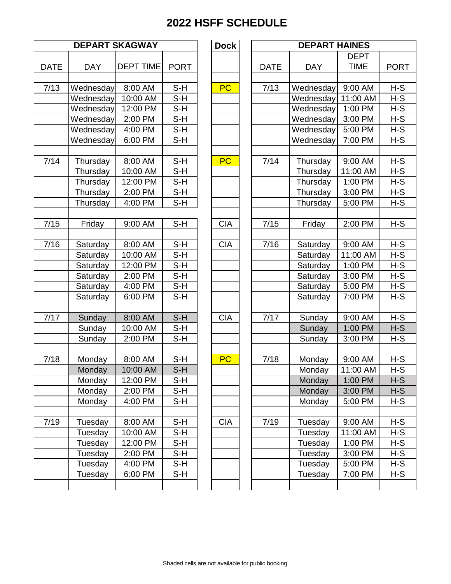|             |            | <b>DEPART SKAGWAY</b> |             | <b>Dock</b> |             | <b>DEPA</b>   |
|-------------|------------|-----------------------|-------------|-------------|-------------|---------------|
| <b>DATE</b> | <b>DAY</b> | <b>DEPT TIME</b>      | <b>PORT</b> |             | <b>DATE</b> | <b>DAY</b>    |
|             |            |                       |             |             |             |               |
| 7/13        | Wednesday  | 8:00 AM               | $S-H$       | <b>PC</b>   | 7/13        | Wednes        |
|             | Wednesday  | 10:00 AM              | $S-H$       |             |             | Wednes        |
|             | Wednesday  | 12:00 PM              | $S-H$       |             |             | Wednes        |
|             | Wednesday  | 2:00 PM               | $S-H$       |             |             | Wednes        |
|             | Wednesday  | 4:00 PM               | $S-H$       |             |             | Wednes        |
|             | Wednesday  | 6:00 PM               | $S-H$       |             |             | Wednes        |
| 7/14        | Thursday   | 8:00 AM               | $S-H$       | <b>PC</b>   | 7/14        | <b>Thursd</b> |
|             | Thursday   | 10:00 AM              | $S-H$       |             |             | <b>Thursd</b> |
|             | Thursday   | 12:00 PM              | $S-H$       |             |             | <b>Thursd</b> |
|             | Thursday   | 2:00 PM               | $S-H$       |             |             | <b>Thursd</b> |
|             | Thursday   | 4:00 PM               | $S-H$       |             |             | <b>Thursd</b> |
| 7/15        | Friday     | 9:00 AM               | $S-H$       | <b>CIA</b>  | 7/15        | Frida         |
|             |            |                       |             |             |             |               |
| 7/16        | Saturday   | 8:00 AM               | $S-H$       | <b>CIA</b>  | 7/16        | Saturd        |
|             | Saturday   | 10:00 AM              | S-H         |             |             | Saturd        |
|             | Saturday   | 12:00 PM              | $S-H$       |             |             | Saturd        |
|             | Saturday   | 2:00 PM               | $S-H$       |             |             | Saturd        |
|             | Saturday   | 4:00 PM               | $S-H$       |             |             | Saturd        |
|             | Saturday   | 6:00 PM               | $S-H$       |             |             | Saturd        |
| 7/17        | Sunday     | 8:00 AM               | $S-H$       | <b>CIA</b>  | 7/17        | Sunda         |
|             | Sunday     | 10:00 AM              | $S-H$       |             |             | Sunda         |
|             | Sunday     | 2:00 PM               | $S-H$       |             |             | Sunda         |
| 7/18        | Monday     | 8:00 AM               | $S-H$       | <b>PC</b>   | 7/18        | Monda         |
|             | Monday     | 10:00 AM              | $S-H$       |             |             | Monda         |
|             | Monday     | 12:00 PM              | S-H         |             |             | Monda         |
|             | Monday     | 2:00 PM               | S-H         |             |             | Monda         |
|             | Monday     | 4:00 PM               | S-H         |             |             | Monda         |
| 7/19        | Tuesday    | 8:00 AM               | $S-H$       | <b>CIA</b>  | 7/19        | Tuesda        |
|             | Tuesday    | 10:00 AM              | S-H         |             |             | Tuesda        |
|             | Tuesday    | 12:00 PM              | $S-H$       |             |             | Tuesda        |
|             | Tuesday    | 2:00 PM               | S-H         |             |             | Tuesda        |
|             | Tuesday    | 4:00 PM               | S-H         |             |             | Tuesda        |
|             | Tuesday    | 6:00 PM               | $S-H$       |             |             | Tuesda        |
|             |            |                       |             |             |             |               |

|                   |            | <b>DEPART SKAGWAY</b> |             | <b>Dock</b> |             | <b>DEPART HAINES</b> |             |             |
|-------------------|------------|-----------------------|-------------|-------------|-------------|----------------------|-------------|-------------|
|                   |            |                       |             |             |             |                      | <b>DEPT</b> |             |
| <b>DATE</b>       | <b>DAY</b> | <b>DEPT TIME</b>      | <b>PORT</b> |             | <b>DATE</b> | <b>DAY</b>           | <b>TIME</b> | <b>PORT</b> |
|                   |            |                       |             |             |             |                      |             |             |
| $\frac{1}{7}/13$  | Wednesday  | 8:00 AM               | $S-H$       | <b>PC</b>   | 7/13        | Wednesday            | 9:00 AM     | $H-S$       |
|                   | Wednesday  | 10:00 AM              | $S-H$       |             |             | Wednesday            | 11:00 AM    | $H-S$       |
|                   | Wednesday  | 12:00 PM              | $S-H$       |             |             | Wednesday            | 1:00 PM     | $H-S$       |
|                   | Wednesday  | 2:00 PM               | S-H         |             |             | Wednesday            | 3:00 PM     | $H-S$       |
|                   | Wednesday  | 4:00 PM               | $S-H$       |             |             | Wednesday            | 5:00 PM     | $H-S$       |
|                   | Wednesday  | 6:00 PM               | $S-H$       |             |             | Wednesday            | 7:00 PM     | $H-S$       |
|                   |            |                       |             |             |             |                      |             |             |
| 7/14              | Thursday   | 8:00 AM               | $S-H$       | <b>PC</b>   | 7/14        | Thursday             | 9:00 AM     | $H-S$       |
|                   | Thursday   | 10:00 AM              | $S-H$       |             |             | Thursday             | 11:00 AM    | $H-S$       |
|                   | Thursday   | 12:00 PM              | $S-H$       |             |             | Thursday             | 1:00 PM     | $H-S$       |
|                   | Thursday   | 2:00 PM               | $S-H$       |             |             | Thursday             | 3:00 PM     | $H-S$       |
|                   | Thursday   | 4:00 PM               | $S-H$       |             |             | Thursday             | 5:00 PM     | $H-S$       |
|                   |            |                       |             |             |             |                      |             |             |
| $\frac{1}{7}{15}$ | Friday     | 9:00 AM               | $S-H$       | <b>CIA</b>  | 7/15        | Friday               | 2:00 PM     | $H-S$       |
|                   |            |                       |             |             |             |                      |             |             |
| 7/16              | Saturday   | 8:00 AM               | S-H         | <b>CIA</b>  | 7/16        | Saturday             | 9:00 AM     | $H-S$       |
|                   | Saturday   | 10:00 AM              | $S-H$       |             |             | Saturday             | 11:00 AM    | $H-S$       |
|                   | Saturday   | 12:00 PM              | $S-H$       |             |             | Saturday             | 1:00 PM     | $H-S$       |
|                   | Saturday   | 2:00 PM               | $S-H$       |             |             | Saturday             | 3:00 PM     | $H-S$       |
|                   | Saturday   | 4:00 PM               | S-H         |             |             | Saturday             | 5:00 PM     | $H-S$       |
|                   | Saturday   | 6:00 PM               | $S-H$       |             |             | Saturday             | 7:00 PM     | $H-S$       |
|                   |            |                       |             |             |             |                      |             |             |
| $\frac{1}{7}$ /17 | Sunday     | 8:00 AM               | $S-H$       | <b>CIA</b>  | 7/17        | Sunday               | 9:00 AM     | $H-S$       |
|                   | Sunday     | 10:00 AM              | S-H         |             |             | Sunday               | 1:00 PM     | $H-S$       |
|                   | Sunday     | 2:00 PM               | $S-H$       |             |             | Sunday               | 3:00 PM     | $H-S$       |
|                   |            |                       |             |             |             |                      |             |             |
| 7/18              | Monday     | 8:00 AM               | $S-H$       | <b>PC</b>   | 7/18        | Monday               | 9:00 AM     | $H-S$       |
|                   | Monday     | 10:00 AM              | $S-H$       |             |             | Monday               | 11:00 AM    | $H-S$       |
|                   | Monday     | 12:00 PM              | S-H         |             |             | Monday               | 1:00 PM     | $H-S$       |
|                   | Monday     | 2:00 PM               | S-H         |             |             | Monday               | 3:00 PM     | $H-S$       |
|                   | Monday     | 4:00 PM               | S-H         |             |             | Monday               | 5:00 PM     | $H-S$       |
|                   |            |                       |             |             |             |                      |             |             |
| 7/19              | Tuesday    | 8:00 AM               | S-H         | <b>CIA</b>  | 7/19        | Tuesday              | 9:00 AM     | $H-S$       |
|                   | Tuesday    | 10:00 AM              | S-H         |             |             | Tuesday              | 11:00 AM    | H-S         |
|                   | Tuesday    | 12:00 PM              | S-H         |             |             | Tuesday              | 1:00 PM     | H-S         |
|                   | Tuesday    | 2:00 PM               | S-H         |             |             | Tuesday              | 3:00 PM     | $H-S$       |
|                   | Tuesday    | 4:00 PM               | S-H         |             |             | Tuesday              | 5:00 PM     | $H-S$       |
|                   | Tuesday    | 6:00 PM               | S-H         |             |             | Tuesday              | 7:00 PM     | H-S         |
|                   |            |                       |             |             |             |                      |             |             |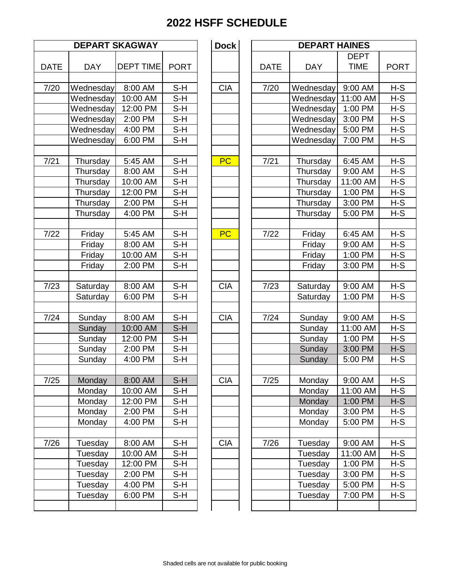|             |            | <b>DEPART SKAGWAY</b> |             | <b>Dock</b> |             | <b>DEPA</b>   |
|-------------|------------|-----------------------|-------------|-------------|-------------|---------------|
| <b>DATE</b> | <b>DAY</b> | <b>DEPT TIME</b>      | <b>PORT</b> |             | <b>DATE</b> | <b>DAY</b>    |
| 7/20        | Wednesday  | 8:00 AM               | $S-H$       | <b>CIA</b>  | 7/20        | Wednes        |
|             | Wednesday  | 10:00 AM              | $S-H$       |             |             | Wednes        |
|             | Wednesday  | 12:00 PM              | $S-H$       |             |             | Wednes        |
|             | Wednesday  | 2:00 PM               | $S-H$       |             |             | Wednes        |
|             | Wednesday  | 4:00 PM               | $S-H$       |             |             | Wednes        |
|             | Wednesday  | 6:00 PM               | $S-H$       |             |             | Wednes        |
|             |            |                       |             |             |             |               |
| 7/21        | Thursday   | 5:45 AM               | $S-H$       | <b>PC</b>   | 7/21        | <b>Thursd</b> |
|             | Thursday   | 8:00 AM               | S-H         |             |             | <b>Thursd</b> |
|             | Thursday   | 10:00 AM              | $S-H$       |             |             | <b>Thursd</b> |
|             | Thursday   | 12:00 PM              | $S-H$       |             |             | <b>Thursd</b> |
|             | Thursday   | 2:00 PM               | $S-H$       |             |             | <b>Thursd</b> |
|             | Thursday   | 4:00 PM               | $S-H$       |             |             | <b>Thursd</b> |
|             |            |                       |             |             |             |               |
| 7/22        | Friday     | 5:45 AM               | $S-H$       | PC          | 7/22        | Friday        |
|             | Friday     | 8:00 AM               | $S-H$       |             |             | Frida         |
|             | Friday     | 10:00 AM              | $S-H$       |             |             | Frida         |
|             | Friday     | 2:00 PM               | $S-H$       |             |             | Frida         |
| 7/23        | Saturday   | 8:00 AM               | $S-H$       | <b>CIA</b>  | 7/23        | Saturd        |
|             | Saturday   | 6:00 PM               | $S-H$       |             |             | Saturd        |
|             |            |                       |             |             |             |               |
| 7/24        | Sunday     | 8:00 AM               | S-H         | <b>CIA</b>  | 7/24        | Sunda         |
|             | Sunday     | 10:00 AM              | $S-H$       |             |             | Sunda         |
|             | Sunday     | 12:00 PM              | $S-H$       |             |             | Sunda         |
|             | Sunday     | 2:00 PM               | $S-H$       |             |             | Sunda         |
|             | Sunday     | 4:00 PM               | $S-H$       |             |             | Sunda         |
| 7/25        | Monday     | 8:00 AM               | $S-H$       | <b>CIA</b>  | 7/25        | Monda         |
|             | Monday     | 10:00 AM              | $S-H$       |             |             | Monda         |
|             | Monday     | 12:00 PM              | S-H         |             |             | Monda         |
|             | Monday     | 2:00 PM               | S-H         |             |             | Monda         |
|             | Monday     | 4:00 PM               | $S-H$       |             |             | Monda         |
|             |            |                       |             |             |             |               |
| 7/26        | Tuesday    | 8:00 AM               | $S-H$       | <b>CIA</b>  | 7/26        | Tuesda        |
|             | Tuesday    | 10:00 AM              | S-H         |             |             | Tuesda        |
|             | Tuesday    | 12:00 PM              | S-H         |             |             | Tuesda        |
|             | Tuesday    | 2:00 PM               | $S-H$       |             |             | Tuesda        |
|             | Tuesday    | 4:00 PM               | $S-H$       |             |             | Tuesda        |
|             | Tuesday    | 6:00 PM               | $S-H$       |             |             | Tuesda        |
|             |            |                       |             |             |             |               |

|                   |                    | <b>DEPART SKAGWAY</b> |              | <b>Dock</b> |             | <b>DEPART HAINES</b> |                    |                |
|-------------------|--------------------|-----------------------|--------------|-------------|-------------|----------------------|--------------------|----------------|
|                   |                    |                       |              |             |             |                      | <b>DEPT</b>        |                |
| <b>DATE</b>       | <b>DAY</b>         | <b>DEPT TIME</b>      | <b>PORT</b>  |             | <b>DATE</b> | <b>DAY</b>           | <b>TIME</b>        | <b>PORT</b>    |
| $\frac{1}{7}{20}$ | Wednesday          | 8:00 AM               | $S-H$        | <b>CIA</b>  | 7/20        | Wednesday            | 9:00 AM            | $H-S$          |
|                   | Wednesday          | 10:00 AM              | $S-H$        |             |             | Wednesday            | 11:00 AM           | $H-S$          |
|                   | Wednesday          | 12:00 PM              | $S-H$        |             |             | Wednesday            | 1:00 PM            | $H-S$          |
|                   | Wednesday          | 2:00 PM               | $S-H$        |             |             | Wednesday            | 3:00 PM            | $H-S$          |
|                   | Wednesday          | 4:00 PM               | $S-H$        |             |             | Wednesday            | 5:00 PM            | $H-S$          |
|                   | Wednesday          | 6:00 PM               | $S-H$        |             |             | Wednesday            | 7:00 PM            | $H-S$          |
|                   |                    |                       |              |             |             |                      |                    |                |
| 7/21              | Thursday           | 5:45 AM               | $S-H$        | <b>PC</b>   | 7/21        | Thursday             | 6:45 AM            | $H-S$          |
|                   | Thursday           | 8:00 AM               | $S-H$        |             |             | Thursday             | 9:00 AM            | $H-S$          |
|                   | Thursday           | 10:00 AM              | $S-H$        |             |             | Thursday             | 11:00 AM           | $H-S$          |
|                   | Thursday           | 12:00 PM              | $S-H$        |             |             | Thursday             | 1:00 PM            | $H-S$          |
|                   | Thursday           | 2:00 PM               | $S-H$        |             |             | Thursday             | 3:00 PM            | $H-S$          |
|                   | Thursday           | 4:00 PM               | $S-H$        |             |             | Thursday             | 5:00 PM            | $H-S$          |
|                   |                    |                       |              |             |             |                      |                    |                |
| $\frac{1}{7}/22$  | Friday             | 5:45 AM               | $S-H$        | <b>PC</b>   | $7/22$      | Friday               | 6:45 AM            | $H-S$          |
|                   | Friday             | 8:00 AM               | $S-H$        |             |             | Friday               | 9:00 AM            | $H-S$          |
|                   | Friday             | 10:00 AM              | $S-H$        |             |             | Friday               | 1:00 PM            | $H-S$          |
|                   | Friday             | 2:00 PM               | $S-H$        |             |             | Friday               | 3:00 PM            | $H-S$          |
|                   |                    |                       |              |             |             |                      |                    |                |
| 7/23              | Saturday           | 8:00 AM               | $S-H$        | <b>CIA</b>  | 7/23        | Saturday             | 9:00 AM            | $H-S$          |
|                   | Saturday           | 6:00 PM               | $S-H$        |             |             | Saturday             | 1:00 PM            | $H-S$          |
|                   |                    |                       |              |             |             |                      |                    |                |
| 7/24              | Sunday             | 8:00 AM               | $S-H$        | <b>CIA</b>  | $7/24$      | Sunday               | 9:00 AM            | $H-S$          |
|                   | Sunday             | 10:00 AM              | $S-H$        |             |             | Sunday               | 11:00 AM           | $H-S$          |
|                   | Sunday             | 12:00 PM              | $S-H$        |             |             | Sunday               | 1:00 PM            | $H-S$          |
|                   | Sunday             | 2:00 PM               | $S-H$        |             |             | Sunday               | 3:00 PM            | $H-S$          |
|                   | Sunday             | 4:00 PM               | $S-H$        |             |             | Sunday               | 5:00 PM            | $H-S$          |
|                   |                    |                       |              |             |             |                      |                    |                |
| 7/25              | Monday             | 8:00 AM               | $S-H$        | <b>CIA</b>  | 7/25        | Monday               | 9:00 AM            | $H-S$          |
|                   | Monday             | 10:00 AM              | $S-H$        |             |             | Monday               | 11:00 AM           | $H-S$          |
|                   | Monday             | 12:00 PM              | S-H          |             |             | Monday               | 1:00 PM            | $H-S$          |
|                   | Monday             | 2:00 PM               | $S-H$        |             |             | Monday               | 3:00 PM            | H-S            |
|                   | Monday             | 4:00 PM               | $S-H$        |             |             | Monday               | 5:00 PM            | H-S            |
| 7/26              |                    |                       | $S-H$        | <b>CIA</b>  | 7/26        |                      | 9:00 AM            | $H-S$          |
|                   | Tuesday            | 8:00 AM<br>10:00 AM   | S-H          |             |             | Tuesday              | 11:00 AM           | $H-S$          |
|                   | Tuesday<br>Tuesday | 12:00 PM              | $S-H$        |             |             | Tuesday              | 1:00 PM            | $H-S$          |
|                   | Tuesday            | 2:00 PM               | $S-H$        |             |             | Tuesday              |                    |                |
|                   | Tuesday            |                       |              |             |             | Tuesday<br>Tuesday   | 3:00 PM            | H-S            |
|                   | Tuesday            | 4:00 PM<br>6:00 PM    | S-H<br>$S-H$ |             |             | Tuesday              | 5:00 PM<br>7:00 PM | $H-S$<br>$H-S$ |
|                   |                    |                       |              |             |             |                      |                    |                |
|                   |                    |                       |              |             |             |                      |                    |                |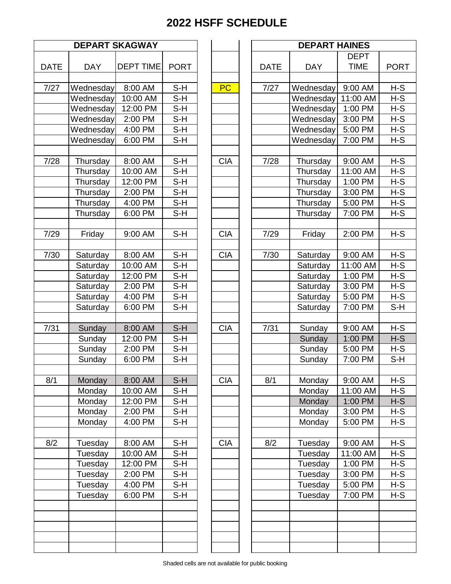|             | <b>DEPART SKAGWAY</b> |                  |             |            | <b>DEPA</b> |               |
|-------------|-----------------------|------------------|-------------|------------|-------------|---------------|
| <b>DATE</b> | <b>DAY</b>            | <b>DEPT TIME</b> | <b>PORT</b> |            | <b>DATE</b> | <b>DAY</b>    |
| 7/27        | Wednesday             | 8:00 AM          | $S-H$       | PC         | 7/27        | Wednes        |
|             | Wednesday             | 10:00 AM         | $S-H$       |            |             | Wednes        |
|             | Wednesday             | 12:00 PM         | $S-H$       |            |             | Wednes        |
|             | Wednesday             | 2:00 PM          | $S-H$       |            |             | Wednes        |
|             | Wednesday             | 4:00 PM          | $S-H$       |            |             | Wednes        |
|             | Wednesday             | 6:00 PM          | $S-H$       |            |             | Wednes        |
|             |                       |                  |             |            |             |               |
| 7/28        | Thursday              | 8:00 AM          | $S-H$       | <b>CIA</b> | 7/28        | <b>Thursd</b> |
|             | Thursday              | 10:00 AM         | $S-H$       |            |             | <b>Thursd</b> |
|             | Thursday              | 12:00 PM         | $S-H$       |            |             | <b>Thursd</b> |
|             | Thursday              | 2:00 PM          | $S-H$       |            |             | <b>Thursd</b> |
|             | Thursday              | 4:00 PM          | $S-H$       |            |             | <b>Thursd</b> |
|             | Thursday              | 6:00 PM          | $S-H$       |            |             | Thursd        |
| 7/29        | Friday                | 9:00 AM          | $S-H$       | <b>CIA</b> | 7/29        | Frida         |
| 7/30        | Saturday              | 8:00 AM          | $S-H$       | <b>CIA</b> | 7/30        | Saturd        |
|             | Saturday              | 10:00 AM         | $S-H$       |            |             | Saturd        |
|             | Saturday              | 12:00 PM         | $S-H$       |            |             | Saturd        |
|             | Saturday              | 2:00 PM          | $S-H$       |            |             | Saturd        |
|             | Saturday              | 4:00 PM          | $S-H$       |            |             | Saturd        |
|             | Saturday              | 6:00 PM          | $S-H$       |            |             | Saturd        |
| 7/31        | Sunday                | 8:00 AM          | $S-H$       | <b>CIA</b> | 7/31        | Sunda         |
|             | Sunday                | 12:00 PM         | $S-H$       |            |             | Sunda         |
|             | Sunday                | 2:00 PM          | $S-H$       |            |             | Sunda         |
|             | Sunday                | 6:00 PM          | $S-H$       |            |             | Sunda         |
|             |                       |                  |             |            |             |               |
| 8/1         | Monday                | 8:00 AM          | $S-H$       | <b>CIA</b> | 8/1         | Monda         |
|             | Monday                | 10:00 AM         | $S-H$       |            |             | Monda         |
|             | Monday                | 12:00 PM         | $S-H$       |            |             | Monda         |
|             | Monday                | 2:00 PM          | $S-H$       |            |             | Monda         |
|             | Monday                | 4:00 PM          | $S-H$       |            |             | Monda         |
| 8/2         | Tuesday               | 8:00 AM          | $S-H$       | <b>CIA</b> | 8/2         | Tuesda        |
|             | Tuesday               | 10:00 AM         | $S-H$       |            |             | Tuesda        |
|             | Tuesday               | 12:00 PM         | S-H         |            |             | Tuesda        |
|             | Tuesday               | 2:00 PM          | $S-H$       |            |             | Tuesda        |
|             | Tuesday               | 4:00 PM          | S-H         |            |             | Tuesda        |
|             | Tuesday               | 6:00 PM          | $S-H$       |            |             | Tuesda        |
|             |                       |                  |             |            |             |               |
|             |                       |                  |             |            |             |               |
|             |                       |                  |             |            |             |               |

|             | <b>DEPART SKAGWAY</b> |                  |             |  |            | <b>DEPART HAINES</b> |            |             |             |  |
|-------------|-----------------------|------------------|-------------|--|------------|----------------------|------------|-------------|-------------|--|
|             |                       |                  |             |  |            |                      |            | <b>DEPT</b> |             |  |
| <b>DATE</b> | <b>DAY</b>            | <b>DEPT TIME</b> | <b>PORT</b> |  |            | <b>DATE</b>          | <b>DAY</b> | <b>TIME</b> | <b>PORT</b> |  |
|             |                       |                  |             |  |            |                      |            |             |             |  |
| 7/27        | Wednesday             | 8:00 AM          | $S-H$       |  | PC         | 7/27                 | Wednesday  | 9:00 AM     | $H-S$       |  |
|             | Wednesday             | 10:00 AM         | $S-H$       |  |            |                      | Wednesday  | 11:00 AM    | $H-S$       |  |
|             | Wednesday             | 12:00 PM         | $S-H$       |  |            |                      | Wednesday  | 1:00 PM     | H-S         |  |
|             | Wednesday             | 2:00 PM          | $S-H$       |  |            |                      | Wednesday  | 3:00 PM     | $H-S$       |  |
|             | Wednesday             | 4:00 PM          | $S-H$       |  |            |                      | Wednesday  | 5:00 PM     | $H-S$       |  |
|             | Wednesday             | 6:00 PM          | $S-H$       |  |            |                      | Wednesday  | 7:00 PM     | $H-S$       |  |
|             |                       |                  |             |  |            |                      |            |             |             |  |
| 7/28        | Thursday              | 8:00 AM          | $S-H$       |  | <b>CIA</b> | 7/28                 | Thursday   | 9:00 AM     | $H-S$       |  |
|             | Thursday              | 10:00 AM         | $S-H$       |  |            |                      | Thursday   | 11:00 AM    | $H-S$       |  |
|             | Thursday              | 12:00 PM         | $S-H$       |  |            |                      | Thursday   | 1:00 PM     | $H-S$       |  |
|             | Thursday              | 2:00 PM          | $S-H$       |  |            |                      | Thursday   | 3:00 PM     | $H-S$       |  |
|             | Thursday              | 4:00 PM          | $S-H$       |  |            |                      | Thursday   | 5:00 PM     | $H-S$       |  |
|             | Thursday              | 6:00 PM          | $S-H$       |  |            |                      | Thursday   | 7:00 PM     | $H-S$       |  |
|             |                       |                  |             |  |            |                      |            |             |             |  |
| 7/29        | Friday                | 9:00 AM          | $S-H$       |  | <b>CIA</b> | 7/29                 | Friday     | 2:00 PM     | $H-S$       |  |
|             |                       |                  |             |  |            |                      |            |             |             |  |
| 7/30        | Saturday              | 8:00 AM          | $S-H$       |  | <b>CIA</b> | 7/30                 | Saturday   | 9:00 AM     | $H-S$       |  |
|             | Saturday              | 10:00 AM         | $S-H$       |  |            |                      | Saturday   | 11:00 AM    | $H-S$       |  |
|             | Saturday              | 12:00 PM         | $S-H$       |  |            |                      | Saturday   | 1:00 PM     | H-S         |  |
|             | Saturday              | 2:00 PM          | $S-H$       |  |            |                      | Saturday   | 3:00 PM     | $H-S$       |  |
|             | Saturday              | 4:00 PM          | $S-H$       |  |            |                      | Saturday   | 5:00 PM     | $H-S$       |  |
|             | Saturday              | 6:00 PM          | $S-H$       |  |            |                      | Saturday   | 7:00 PM     | $S-H$       |  |
|             |                       |                  |             |  |            |                      |            |             |             |  |
| 7/31        | Sunday                | 8:00 AM          | $S-H$       |  | <b>CIA</b> | 7/31                 | Sunday     | 9:00 AM     | $H-S$       |  |
|             | Sunday                | 12:00 PM         | $S-H$       |  |            |                      | Sunday     | 1:00 PM     | $H-S$       |  |
|             | Sunday                | 2:00 PM          | $S-H$       |  |            |                      | Sunday     | 5:00 PM     | $H-S$       |  |
|             | Sunday                | 6:00 PM          | $S-H$       |  |            |                      | Sunday     | 7:00 PM     | $S-H$       |  |
|             |                       |                  |             |  |            |                      |            |             |             |  |
| 8/1         | Monday                | 8:00 AM          | $S-H$       |  | <b>CIA</b> | 8/1                  | Monday     | 9:00 AM     | $H-S$       |  |
|             | Monday                | 10:00 AM         | $S-H$       |  |            |                      | Monday     | 11:00 AM    | $H-S$       |  |
|             | Monday                | 12:00 PM         | $S-H$       |  |            |                      | Monday     | 1:00 PM     | $H-S$       |  |
|             | Monday                | 2:00 PM          | $S-H$       |  |            |                      | Monday     | 3:00 PM     | $H-S$       |  |
|             | Monday                | 4:00 PM          | $S-H$       |  |            |                      | Monday     | 5:00 PM     | $H-S$       |  |
|             |                       |                  |             |  |            |                      |            |             |             |  |
| 8/2         | Tuesday               | 8:00 AM          | $S-H$       |  | <b>CIA</b> | 8/2                  | Tuesday    | 9:00 AM     | $H-S$       |  |
|             | Tuesday               | 10:00 AM         | $S-H$       |  |            |                      | Tuesday    | 11:00 AM    | $H-S$       |  |
|             | Tuesday               | 12:00 PM         | $S-H$       |  |            |                      | Tuesday    | 1:00 PM     | $H-S$       |  |
|             | Tuesday               | 2:00 PM          | $S-H$       |  |            |                      | Tuesday    | 3:00 PM     | $H-S$       |  |
|             | Tuesday               | 4:00 PM          | $S-H$       |  |            |                      | Tuesday    | 5:00 PM     | $H-S$       |  |
|             | Tuesday               | 6:00 PM          | $S-H$       |  |            |                      | Tuesday    | 7:00 PM     | $H - S$     |  |
|             |                       |                  |             |  |            |                      |            |             |             |  |
|             |                       |                  |             |  |            |                      |            |             |             |  |
|             |                       |                  |             |  |            |                      |            |             |             |  |
|             |                       |                  |             |  |            |                      |            |             |             |  |
|             |                       |                  |             |  |            |                      |            |             |             |  |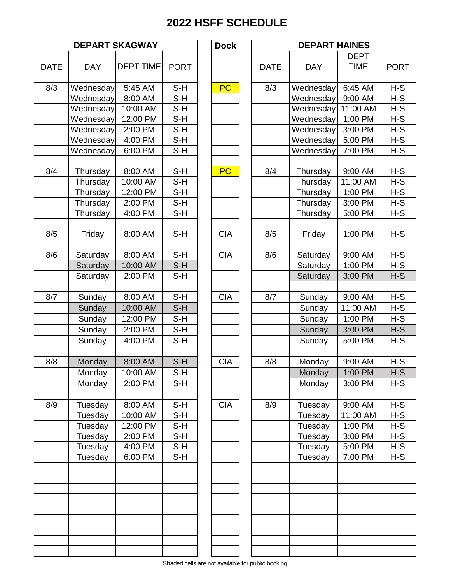| <b>DEPART SKAGWAY</b> |            |                  | <b>Dock</b> |            |  |             | <b>DEPART HAINES</b> |             |
|-----------------------|------------|------------------|-------------|------------|--|-------------|----------------------|-------------|
|                       |            |                  |             |            |  |             |                      | <b>DEPT</b> |
| <b>DATE</b>           | <b>DAY</b> | <b>DEPT TIME</b> | <b>PORT</b> |            |  | <b>DATE</b> | <b>DAY</b>           | <b>TIME</b> |
| 8/3                   | Wednesday  | 5:45 AM          | $S-H$       | <b>PC</b>  |  | 8/3         | Wednesday            | 6:45 AM     |
|                       | Wednesday  | 8:00 AM          | $S-H$       |            |  |             | Wednesday            | 9:00 AM     |
|                       | Wednesday  | 10:00 AM         | $S-H$       |            |  |             | Wednesday            | 11:00 A     |
|                       | Wednesday  | 12:00 PM         | S-H         |            |  |             | Wednesday            | 1:00 PM     |
|                       | Wednesday  | 2:00 PM          | $S-H$       |            |  |             | Wednesday            | 3:00 PM     |
|                       | Wednesday  | 4:00 PM          | $S-H$       |            |  |             | Wednesday            | 5:00 PM     |
|                       | Wednesday  | 6:00 PM          | S-H         |            |  |             | Wednesday            | 7:00 PM     |
|                       |            |                  |             |            |  |             |                      |             |
| 8/4                   | Thursday   | 8:00 AM          | $S-H$       | <b>PC</b>  |  | 8/4         | Thursday             | 9:00 AM     |
|                       | Thursday   | 10:00 AM         | $S-H$       |            |  |             | Thursday             | 11:00 A     |
|                       | Thursday   | 12:00 PM         | $S-H$       |            |  |             | Thursday             | 1:00 PM     |
|                       | Thursday   | 2:00 PM          | $S-H$       |            |  |             | Thursday             | 3:00 PM     |
|                       | Thursday   | 4:00 PM          | $S-H$       |            |  |             | Thursday             | 5:00 PM     |
|                       |            |                  |             |            |  |             |                      |             |
| 8/5                   | Friday     | 8:00 AM          | $S-H$       | <b>CIA</b> |  | 8/5         | Friday               | 1:00 PM     |
| 8/6                   | Saturday   | 8:00 AM          | $S-H$       | <b>CIA</b> |  | 8/6         | Saturday             | 9:00 AM     |
|                       | Saturday   | 10:00 AM         | $S-H$       |            |  |             | Saturday             | 1:00 PM     |
|                       | Saturday   | 2:00 PM          | S-H         |            |  |             | Saturday             | 3:00 PM     |
|                       |            |                  |             |            |  |             |                      |             |
| 8/7                   | Sunday     | 8:00 AM          | $S-H$       | <b>CIA</b> |  | 8/7         | Sunday               | 9:00 AM     |
|                       | Sunday     | 10:00 AM         | $S-H$       |            |  |             | Sunday               | 11:00 A     |
|                       | Sunday     | 12:00 PM         | S-H         |            |  |             | Sunday               | 1:00 PM     |
|                       | Sunday     | 2:00 PM          | $S-H$       |            |  |             | Sunday               | 3:00 PM     |
|                       | Sunday     | 4:00 PM          | $S-H$       |            |  |             | Sunday               | 5:00 PM     |
|                       |            |                  |             |            |  |             |                      |             |
| 8/8                   | Monday     | 8:00 AM          | $S-H$       | <b>CIA</b> |  | 8/8         | Monday               | 9:00 AM     |
|                       | Monday     | 10:00 AM         | $S-H$       |            |  |             | Monday               | 1:00 PM     |
|                       | Monday     | 2:00 PM          | $S-H$       |            |  |             | Monday               | 3:00 PM     |
| 8/9                   | Tuesday    | 8:00 AM          | $S-H$       | <b>CIA</b> |  | 8/9         | Tuesday              | 9:00 AM     |
|                       | Tuesday    | 10:00 AM         | S-H         |            |  |             | Tuesday              | 11:00 A     |
|                       | Tuesday    | 12:00 PM         | $S-H$       |            |  |             | Tuesday              | 1:00 PM     |
|                       | Tuesday    | 2:00 PM          | $S-H$       |            |  |             | Tuesday              | 3:00 PM     |
|                       | Tuesday    | 4:00 PM          | S-H         |            |  |             | Tuesday              | 5:00 PM     |
|                       | Tuesday    | 6:00 PM          | S-H         |            |  |             | Tuesday              | 7:00 PM     |
|                       |            |                  |             |            |  |             |                      |             |
|                       |            |                  |             |            |  |             |                      |             |
|                       |            |                  |             |            |  |             |                      |             |
|                       |            |                  |             |            |  |             |                      |             |
|                       |            |                  |             |            |  |             |                      |             |
|                       |            |                  |             |            |  |             |                      |             |
|                       |            |                  |             |            |  |             |                      |             |

|     | <b>DEPART SKAGWAY</b> |                  |             | <b>Dock</b> | <b>DEPART HAINES</b> |            |             |             |  |
|-----|-----------------------|------------------|-------------|-------------|----------------------|------------|-------------|-------------|--|
|     |                       |                  |             |             |                      |            | <b>DEPT</b> |             |  |
| ATE | <b>DAY</b>            | <b>DEPT TIME</b> | <b>PORT</b> |             | <b>DATE</b>          | <b>DAY</b> | <b>TIME</b> | <b>PORT</b> |  |
| 8/3 | Wednesday             | 5:45 AM          | $S-H$       | <b>PC</b>   | 8/3                  | Wednesday  | 6:45 AM     | $H-S$       |  |
|     | Wednesday             | 8:00 AM          | S-H         |             |                      | Wednesday  | 9:00 AM     | $H-S$       |  |
|     | Wednesday             | 10:00 AM         | $S-H$       |             |                      | Wednesday  | 11:00 AM    | $H-S$       |  |
|     | Wednesday             | 12:00 PM         | $S-H$       |             |                      | Wednesday  | 1:00 PM     | $H-S$       |  |
|     | Wednesday             | 2:00 PM          | $S-H$       |             |                      | Wednesday  | 3:00 PM     | $H-S$       |  |
|     | Wednesday             | 4:00 PM          | $S-H$       |             |                      | Wednesday  | 5:00 PM     | $H-S$       |  |
|     | Wednesday             | 6:00 PM          | $S-H$       |             |                      | Wednesday  | 7:00 PM     | $H-S$       |  |
|     |                       |                  |             |             |                      |            |             |             |  |
| 8/4 | Thursday              | 8:00 AM          | $S-H$       | <b>PC</b>   | 8/4                  | Thursday   | 9:00 AM     | $H-S$       |  |
|     | Thursday              | 10:00 AM         | $S-H$       |             |                      | Thursday   | 11:00 AM    | $H-S$       |  |
|     | Thursday              | 12:00 PM         | S-H         |             |                      | Thursday   | 1:00 PM     | H-S         |  |
|     | Thursday              | 2:00 PM          | $S-H$       |             |                      | Thursday   | 3:00 PM     | $H-S$       |  |
|     | Thursday              | 4:00 PM          | S-H         |             |                      | Thursday   | 5:00 PM     | $H-S$       |  |
| 8/5 | Friday                | 8:00 AM          | $S-H$       | <b>CIA</b>  | 8/5                  | Friday     | 1:00 PM     | $H-S$       |  |
| 8/6 | Saturday              | 8:00 AM          | $S-H$       | <b>CIA</b>  | 8/6                  | Saturday   | 9:00 AM     | $H-S$       |  |
|     | Saturday              | 10:00 AM         | $S-H$       |             |                      | Saturday   | 1:00 PM     | $H-S$       |  |
|     | Saturday              | 2:00 PM          | S-H         |             |                      | Saturday   | 3:00 PM     | $H-S$       |  |
|     |                       |                  |             |             |                      |            |             |             |  |
| 8/7 | Sunday                | 8:00 AM          | $S-H$       | <b>CIA</b>  | 8/7                  | Sunday     | 9:00 AM     | $H-S$       |  |
|     | Sunday                | 10:00 AM         | $S-H$       |             |                      | Sunday     | 11:00 AM    | $H-S$       |  |
|     | Sunday                | 12:00 PM         | $S-H$       |             |                      | Sunday     | 1:00 PM     | $H-S$       |  |
|     | Sunday                | 2:00 PM          | $S-H$       |             |                      | Sunday     | 3:00 PM     | $H-S$       |  |
|     | Sunday                | 4:00 PM          | $S-H$       |             |                      | Sunday     | 5:00 PM     | $H-S$       |  |
|     |                       |                  |             |             |                      |            |             |             |  |
| 8/8 | Monday                | 8:00 AM          | $S-H$       | <b>CIA</b>  | 8/8                  | Monday     | 9:00 AM     | $H-S$       |  |
|     | Monday                | 10:00 AM         | $S-H$       |             |                      | Monday     | $1:00$ PM   | $H-S$       |  |
|     | Monday                | 2:00 PM          | $S-H$       |             |                      | Monday     | 3:00 PM     | $H-S$       |  |
|     |                       |                  |             |             |                      |            |             |             |  |
| 8/9 | Tuesday               | 8:00 AM          | $S-H$       | <b>CIA</b>  | 8/9                  | Tuesday    | 9:00 AM     | $H-S$       |  |
|     | Tuesday               | 10:00 AM         | $S-H$       |             |                      | Tuesday    | 11:00 AM    | $H-S$       |  |
|     | Tuesday               | 12:00 PM         | $S-H$       |             |                      | Tuesday    | 1:00 PM     | $H-S$       |  |
|     | Tuesday               | 2:00 PM          | $S-H$       |             |                      | Tuesday    | 3:00 PM     | $H-S$       |  |
|     | Tuesday               | 4:00 PM          | $S-H$       |             |                      | Tuesday    | 5:00 PM     | $H-S$       |  |
|     | Tuesday               | 6:00 PM          | $S-H$       |             |                      | Tuesday    | 7:00 PM     | $H-S$       |  |
|     |                       |                  |             |             |                      |            |             |             |  |
|     |                       |                  |             |             |                      |            |             |             |  |
|     |                       |                  |             |             |                      |            |             |             |  |
|     |                       |                  |             |             |                      |            |             |             |  |
|     |                       |                  |             |             |                      |            |             |             |  |
|     |                       |                  |             |             |                      |            |             |             |  |
|     |                       |                  |             |             |                      |            |             |             |  |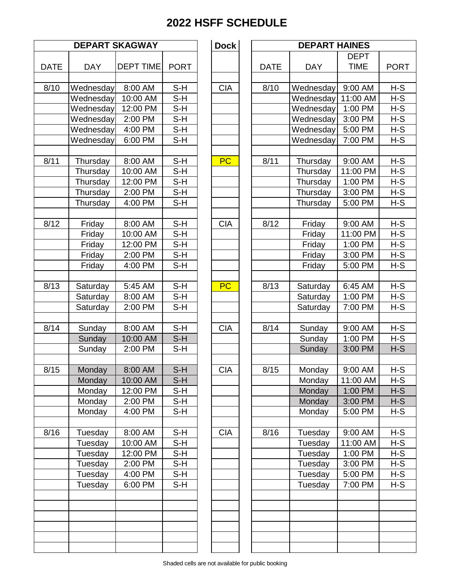|             |                        | <b>DEPART SKAGWAY</b> |             | <b>Dock</b> |             | <b>DEPA</b>      |
|-------------|------------------------|-----------------------|-------------|-------------|-------------|------------------|
| <b>DATE</b> | <b>DAY</b>             | <b>DEPT TIME</b>      | <b>PORT</b> |             | <b>DATE</b> | <b>DAY</b>       |
| 8/10        |                        | 8:00 AM               | $S-H$       | <b>CIA</b>  | 8/10        | Wednes           |
|             | Wednesday<br>Wednesday | 10:00 AM              | $S-H$       |             |             | Wednes           |
|             | Wednesday              | 12:00 PM              | $S-H$       |             |             | Wednes           |
|             | Wednesday              | 2:00 PM               | $S-H$       |             |             | Wednes           |
|             | Wednesday              | 4:00 PM               | $S-H$       |             |             | Wednes           |
|             | Wednesday              | 6:00 PM               | $S-H$       |             |             | Wednes           |
|             |                        |                       |             |             |             |                  |
| 8/11        | Thursday               | 8:00 AM               | $S-H$       | PC          | 8/11        | <b>Thursd</b>    |
|             | Thursday               | 10:00 AM              | S-H         |             |             | <b>Thursd</b>    |
|             | Thursday               | 12:00 PM              | $S-H$       |             |             | <b>Thursd</b>    |
|             | Thursday               | 2:00 PM               | $S-H$       |             |             | <b>Thursd</b>    |
|             | Thursday               | 4:00 PM               | $S-H$       |             |             | <b>Thursd</b>    |
|             |                        |                       |             |             |             |                  |
| 8/12        | Friday                 | 8:00 AM               | $S-H$       | <b>CIA</b>  | 8/12        | Frida            |
|             | Friday                 | 10:00 AM              | $S-H$       |             |             | Frida            |
|             | Friday                 | 12:00 PM              | $S-H$       |             |             | Frida            |
|             | Friday                 | 2:00 PM               | $S-H$       |             |             | Frida            |
|             | Friday                 | 4:00 PM               | $S-H$       |             |             | Frida            |
|             |                        |                       | $S-H$       | PC          |             |                  |
| 8/13        | Saturday<br>Saturday   | 5:45 AM<br>8:00 AM    | $S-H$       |             | 8/13        | Saturd<br>Saturd |
|             | Saturday               | 2:00 PM               | $S-H$       |             |             | Saturd           |
|             |                        |                       |             |             |             |                  |
| 8/14        | Sunday                 | 8:00 AM               | $S-H$       | <b>CIA</b>  | 8/14        | Sunda            |
|             | Sunday                 | 10:00 AM              | $S-H$       |             |             | Sunda            |
|             | Sunday                 | 2:00 PM               | $S-H$       |             |             | Sunda            |
|             |                        |                       |             |             |             |                  |
| 8/15        | Monday                 | 8:00 AM               | $S-H$       | <b>CIA</b>  | 8/15        | Monda            |
|             | Monday                 | 10:00 AM              | $S-H$       |             |             | Monda            |
|             | Monday                 | 12:00 PM              | $S-H$       |             |             | Monda            |
|             | Monday                 | 2:00 PM               | S-H         |             |             | Monda            |
|             | Monday                 | 4:00 PM               | S-H         |             |             | Monda            |
|             |                        |                       |             |             |             |                  |
| 8/16        | Tuesday                | 8:00 AM               | S-H<br>S-H  | <b>CIA</b>  | 8/16        | Tuesda           |
|             | Tuesday<br>Tuesday     | 10:00 AM<br>12:00 PM  | S-H         |             |             | Tuesda<br>Tuesda |
|             | Tuesday                | 2:00 PM               | S-H         |             |             | Tuesda           |
|             | Tuesday                | 4:00 PM               | $S-H$       |             |             | Tuesda           |
|             | Tuesday                | 6:00 PM               | $S-H$       |             |             | Tuesda           |
|             |                        |                       |             |             |             |                  |
|             |                        |                       |             |             |             |                  |
|             |                        |                       |             |             |             |                  |
|             |                        |                       |             |             |             |                  |

|                   |            | <b>DEPART SKAGWAY</b> |             | <b>Dock</b> |             | <b>DEPART HAINES</b> |             |             |
|-------------------|------------|-----------------------|-------------|-------------|-------------|----------------------|-------------|-------------|
|                   |            |                       |             |             |             |                      | <b>DEPT</b> |             |
| <b>DATE</b>       | <b>DAY</b> | <b>DEPT TIME</b>      | <b>PORT</b> |             | <b>DATE</b> | <b>DAY</b>           | <b>TIME</b> | <b>PORT</b> |
| $\overline{8}/10$ | Wednesday  | 8:00 AM               | $S-H$       | <b>CIA</b>  | 8/10        | Wednesday            | 9:00 AM     | $H-S$       |
|                   | Wednesday  | 10:00 AM              | $S-H$       |             |             | Wednesday            | 11:00 AM    | $H-S$       |
|                   | Wednesday  | 12:00 PM              | $S-H$       |             |             | Wednesday            | 1:00 PM     | $H-S$       |
|                   | Wednesday  | 2:00 PM               | $S-H$       |             |             | Wednesday            | 3:00 PM     | $H-S$       |
|                   | Wednesday  | 4:00 PM               | $S-H$       |             |             | Wednesday            | 5:00 PM     | $H-S$       |
|                   | Wednesday  | 6:00 PM               | $S-H$       |             |             | Wednesday            | 7:00 PM     | $H-S$       |
|                   |            |                       |             |             |             |                      |             |             |
| 8/11              | Thursday   | 8:00 AM               | $S-H$       | PC          | 8/11        | Thursday             | 9:00 AM     | $H-S$       |
|                   | Thursday   | 10:00 AM              | $S-H$       |             |             | Thursday             | 11:00 PM    | $H-S$       |
|                   | Thursday   | 12:00 PM              | $S-H$       |             |             | Thursday             | 1:00 PM     | $H-S$       |
|                   | Thursday   | 2:00 PM               | $S-H$       |             |             | Thursday             | 3:00 PM     | $H-S$       |
|                   | Thursday   | 4:00 PM               | $S-H$       |             |             | Thursday             | 5:00 PM     | $H-S$       |
|                   |            |                       |             |             |             |                      |             |             |
| 8/12              | Friday     | 8:00 AM               | $S-H$       | <b>CIA</b>  | 8/12        | Friday               | 9:00 AM     | $H-S$       |
|                   | Friday     | 10:00 AM              | $S-H$       |             |             | Friday               | 11:00 PM    | $H-S$       |
|                   | Friday     | 12:00 PM              | $S-H$       |             |             | Friday               | 1:00 PM     | $H-S$       |
|                   | Friday     | 2:00 PM               | $S-H$       |             |             | Friday               | 3:00 PM     | $H-S$       |
|                   | Friday     | 4:00 PM               | $S-H$       |             |             | Friday               | 5:00 PM     | $H-S$       |
|                   |            |                       |             |             |             |                      |             |             |
| 8/13              | Saturday   | 5:45 AM               | $S-H$       | <b>PC</b>   | 8/13        | Saturday             | 6:45 AM     | $H-S$       |
|                   | Saturday   | 8:00 AM               | $S-H$       |             |             | Saturday             | 1:00 PM     | $H-S$       |
|                   | Saturday   | 2:00 PM               | $S-H$       |             |             | Saturday             | 7:00 PM     | $H-S$       |
|                   |            |                       |             |             |             |                      |             |             |
| 8/14              | Sunday     | 8:00 AM               | $S-H$       | <b>CIA</b>  | 8/14        | Sunday               | 9:00 AM     | $H-S$       |
|                   | Sunday     | 10:00 AM              | $S-H$       |             |             | Sunday               | 1:00 PM     | $H-S$       |
|                   | Sunday     | 2:00 PM               | $S-H$       |             |             | Sunday               | 3:00 PM     | $H-S$       |
|                   |            |                       |             |             |             |                      |             |             |
| 8/15              | Monday     | 8:00 AM               | $S-H$       | <b>CIA</b>  | 8/15        | Monday               | 9:00 AM     | H-S         |
|                   | Monday     | 10:00 AM              | $S-H$       |             |             | Monday               | 11:00 AM    | $H-S$       |
|                   | Monday     | 12:00 PM              | S-H         |             |             | Monday               | 1:00 PM     | $H-S$       |
|                   | Monday     | 2:00 PM               | $S-H$       |             |             | Monday               | 3:00 PM     | $H-S$       |
|                   | Monday     | 4:00 PM               | $S-H$       |             |             | Monday               | 5:00 PM     | $H-S$       |
|                   |            |                       |             |             |             |                      |             |             |
| 8/16              | Tuesday    | 8:00 AM               | $S-H$       | <b>CIA</b>  | 8/16        | Tuesday              | 9:00 AM     | $H-S$       |
|                   | Tuesday    | 10:00 AM              | $S-H$       |             |             | Tuesday              | 11:00 AM    | $H-S$       |
|                   | Tuesday    | 12:00 PM              | $S-H$       |             |             | Tuesday              | 1:00 PM     | $H-S$       |
|                   | Tuesday    | 2:00 PM               | $S-H$       |             |             | Tuesday              | 3:00 PM     | $H-S$       |
|                   | Tuesday    | 4:00 PM               | $S-H$       |             |             | Tuesday              | 5:00 PM     | $H-S$       |
|                   | Tuesday    | 6:00 PM               | $S-H$       |             |             | Tuesday              | 7:00 PM     | $H-S$       |
|                   |            |                       |             |             |             |                      |             |             |
|                   |            |                       |             |             |             |                      |             |             |
|                   |            |                       |             |             |             |                      |             |             |
|                   |            |                       |             |             |             |                      |             |             |
|                   |            |                       |             |             |             |                      |             |             |
|                   |            |                       |             |             |             |                      |             |             |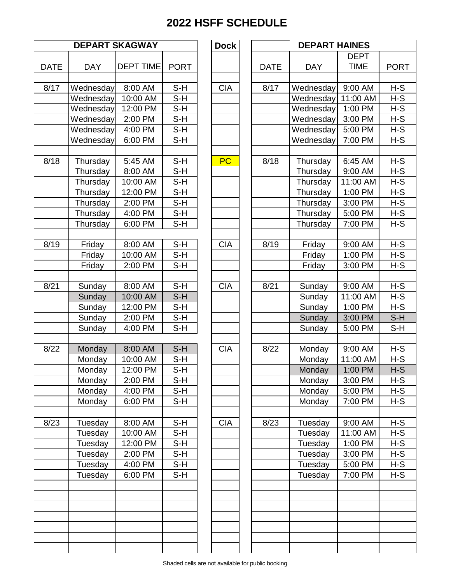|             |                    | <b>DEPART SKAGWAY</b> | <b>Dock</b>                |            | <b>DEPA</b> |                  |
|-------------|--------------------|-----------------------|----------------------------|------------|-------------|------------------|
| <b>DATE</b> | <b>DAY</b>         | <b>DEPT TIME</b>      | <b>PORT</b>                |            | <b>DATE</b> | <b>DAY</b>       |
|             |                    |                       |                            |            |             |                  |
| 8/17        | Wednesday          | 8:00 AM               | $S-H$                      | <b>CIA</b> | 8/17        | Wednes           |
|             | Wednesday          | 10:00 AM              | $S-H$                      |            |             | Wednes           |
|             | Wednesday          | 12:00 PM              | $S-H$                      |            |             | Wednes           |
|             | Wednesday          | 2:00 PM               | $S-H$                      |            |             | Wednes           |
|             | Wednesday          | $\overline{4:}00$ PM  | $\overline{\mathsf{S}}$ -H |            |             | Wednes           |
|             | Wednesday          | 6:00 PM               | $S-H$                      |            |             | Wednes           |
| 8/18        | Thursday           | 5:45 AM               | $S-H$                      | <b>PC</b>  | 8/18        | <b>Thursd</b>    |
|             | Thursday           | 8:00 AM               | $S-H$                      |            |             | <b>Thursd</b>    |
|             | Thursday           | 10:00 AM              | $S-H$                      |            |             | <b>Thursd</b>    |
|             | Thursday           | 12:00 PM              | $S-H$                      |            |             | <b>Thursd</b>    |
|             | Thursday           | 2:00 PM               | $S-H$                      |            |             | <b>Thursd</b>    |
|             | Thursday           | 4:00 PM               | $S-H$                      |            |             | Thursd           |
|             | Thursday           | 6:00 PM               | $S-H$                      |            |             | <b>Thursd</b>    |
| 8/19        | Friday             | 8:00 AM               | $S-H$                      | <b>CIA</b> | 8/19        | Frida            |
|             | Friday             | 10:00 AM              | S-H                        |            |             | Frida            |
|             | Friday             | 2:00 PM               | $S-H$                      |            |             | Frida            |
|             |                    |                       |                            |            |             |                  |
| 8/21        | Sunday             | 8:00 AM               | $S-H$                      | <b>CIA</b> | 8/21        | Sunda            |
|             | Sunday             | 10:00 AM              | $S-H$                      |            |             | Sunda            |
|             | Sunday             | 12:00 PM              | $S-H$                      |            |             | Sunda            |
|             | Sunday             | 2:00 PM               | $S-H$                      |            |             | Sunda            |
|             | Sunday             | 4:00 PM               | $S-H$                      |            |             | Sunda            |
| 8/22        | Monday             | 8:00 AM               | $S-H$                      | <b>CIA</b> | 8/22        | Monda            |
|             | Monday             | 10:00 AM              | $S-H$                      |            |             | Monda            |
|             | Monday             | 12:00 PM              | S-H                        |            |             | Monda            |
|             | Monday             | 2:00 PM               | S-H                        |            |             | Monda            |
|             | Monday             | 4:00 PM               | S-H                        |            |             | Monda            |
|             | Monday             | 6:00 PM               | S-H                        |            |             | Monda            |
|             |                    |                       |                            |            |             |                  |
| 8/23        | Tuesday            | 8:00 AM               | $S-H$                      | <b>CIA</b> | 8/23        | Tuesda           |
|             | Tuesday            | 10:00 AM<br>12:00 PM  | S-H                        |            |             | Tuesda           |
|             | Tuesday            |                       | $S-H$                      |            |             | Tuesda           |
|             | Tuesday            | 2:00 PM               | S-H                        |            |             | Tuesda           |
|             | Tuesday<br>Tuesday | 4:00 PM<br>6:00 PM    | S-H<br>$S-H$               |            |             | Tuesda<br>Tuesda |
|             |                    |                       |                            |            |             |                  |
|             |                    |                       |                            |            |             |                  |
|             |                    |                       |                            |            |             |                  |
|             |                    |                       |                            |            |             |                  |

|             | <b>DEPART SKAGWAY</b> |                  |             |            | <b>Dock</b> | <b>DEPART HAINES</b> |            |             |             |  |
|-------------|-----------------------|------------------|-------------|------------|-------------|----------------------|------------|-------------|-------------|--|
|             |                       |                  |             |            |             |                      |            | <b>DEPT</b> |             |  |
| <b>DATE</b> | <b>DAY</b>            | <b>DEPT TIME</b> | <b>PORT</b> |            |             | <b>DATE</b>          | <b>DAY</b> | <b>TIME</b> | <b>PORT</b> |  |
| 8/17        | Wednesday             | 8:00 AM          | $S-H$       | <b>CIA</b> |             | 8/17                 | Wednesday  | 9:00 AM     | $H-S$       |  |
|             | Wednesday             | 10:00 AM         | $S-H$       |            |             |                      | Wednesday  | 11:00 AM    | $H-S$       |  |
|             | Wednesday             | 12:00 PM         | $S-H$       |            |             |                      | Wednesday  | 1:00 PM     | $H-S$       |  |
|             | Wednesday             | 2:00 PM          | $S-H$       |            |             |                      | Wednesday  | 3:00 PM     | $H-S$       |  |
|             | Wednesday             | 4:00 PM          | $S-H$       |            |             |                      | Wednesday  | 5:00 PM     | $H-S$       |  |
|             | Wednesday             | 6:00 PM          | $S-H$       |            |             |                      | Wednesday  | 7:00 PM     | $H-S$       |  |
|             |                       |                  |             |            |             |                      |            |             |             |  |
| 8/18        | Thursday              | 5:45 AM          | $S-H$       | <b>PC</b>  |             | 8/18                 | Thursday   | 6:45 AM     | $H-S$       |  |
|             | Thursday              | 8:00 AM          | $S-H$       |            |             |                      | Thursday   | 9:00 AM     | $H-S$       |  |
|             | Thursday              | 10:00 AM         | $S-H$       |            |             |                      | Thursday   | 11:00 AM    | $H-S$       |  |
|             | Thursday              | 12:00 PM         | $S-H$       |            |             |                      | Thursday   | 1:00 PM     | $H-S$       |  |
|             | Thursday              | 2:00 PM          | $S-H$       |            |             |                      | Thursday   | 3:00 PM     | $H-S$       |  |
|             | Thursday              | 4:00 PM          | $S-H$       |            |             |                      | Thursday   | 5:00 PM     | $H-S$       |  |
|             | Thursday              | 6:00 PM          | $S-H$       |            |             |                      | Thursday   | 7:00 PM     | $H-S$       |  |
|             |                       |                  |             |            |             |                      |            |             |             |  |
| 8/19        | Friday                | 8:00 AM          | $S-H$       | <b>CIA</b> |             | 8/19                 | Friday     | 9:00 AM     | $H-S$       |  |
|             | Friday                | 10:00 AM         | $S-H$       |            |             |                      | Friday     | 1:00 PM     | $H-S$       |  |
|             | Friday                | 2:00 PM          | $S-H$       |            |             |                      | Friday     | 3:00 PM     | $H-S$       |  |
| 8/21        |                       |                  |             |            |             |                      |            |             |             |  |
|             | Sunday                | 8:00 AM          | $S-H$       | <b>CIA</b> |             | 8/21                 | Sunday     | 9:00 AM     | $H-S$       |  |
|             | Sunday                | 10:00 AM         | $S-H$       |            |             |                      | Sunday     | 11:00 AM    | $H-S$       |  |
|             | Sunday                | 12:00 PM         | S-H         |            |             |                      | Sunday     | 1:00 PM     | $H-S$       |  |
|             | Sunday                | 2:00 PM          | $S-H$       |            |             |                      | Sunday     | 3:00 PM     | $S-H$       |  |
|             | Sunday                | 4:00 PM          | $S-H$       |            |             |                      | Sunday     | 5:00 PM     | $S-H$       |  |
| 8/22        | Monday                | 8:00 AM          | $S-H$       | <b>CIA</b> |             | 8/22                 | Monday     | 9:00 AM     | $H-S$       |  |
|             | Monday                | 10:00 AM         | $S-H$       |            |             |                      | Monday     | 11:00 AM    | $H-S$       |  |
|             | Monday                | 12:00 PM         | S-H         |            |             |                      | Monday     | 1:00 PM     | $H-S$       |  |
|             | Monday                | 2:00 PM          | S-H         |            |             |                      | Monday     | 3:00 PM     | $H-S$       |  |
|             | Monday                | 4:00 PM          | S-H         |            |             |                      | Monday     | 5:00 PM     | $H-S$       |  |
|             | Monday                | 6:00 PM          | $S-H$       |            |             |                      | Monday     | 7:00 PM     | $H-S$       |  |
|             |                       |                  |             |            |             |                      |            |             |             |  |
| 8/23        | Tuesday               | 8:00 AM          | S-H         | <b>CIA</b> |             | 8/23                 | Tuesday    | 9:00 AM     | $H-S$       |  |
|             | Tuesday               | 10:00 AM         | $S-H$       |            |             |                      | Tuesday    | 11:00 AM    | $H-S$       |  |
|             | Tuesday               | 12:00 PM         | $S-H$       |            |             |                      | Tuesday    | 1:00 PM     | $H-S$       |  |
|             | Tuesday               | 2:00 PM          | S-H         |            |             |                      | Tuesday    | 3:00 PM     | $H-S$       |  |
|             | Tuesday               | 4:00 PM          | $S-H$       |            |             |                      | Tuesday    | 5:00 PM     | $H-S$       |  |
|             | Tuesday               | 6:00 PM          | S-H         |            |             |                      | Tuesday    | 7:00 PM     | $H-S$       |  |
|             |                       |                  |             |            |             |                      |            |             |             |  |
|             |                       |                  |             |            |             |                      |            |             |             |  |
|             |                       |                  |             |            |             |                      |            |             |             |  |
|             |                       |                  |             |            |             |                      |            |             |             |  |
|             |                       |                  |             |            |             |                      |            |             |             |  |
|             |                       |                  |             |            |             |                      |            |             |             |  |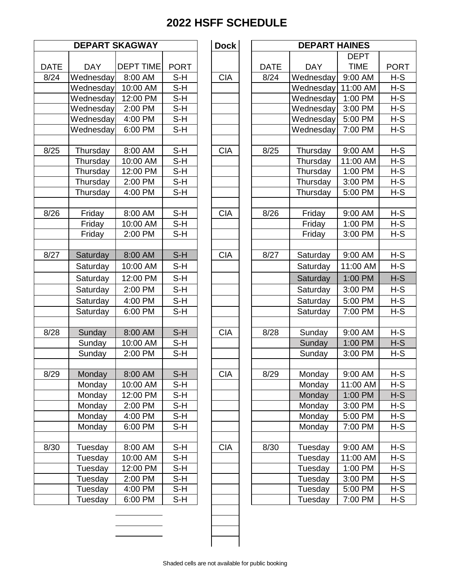|             |            | <b>DEPART SKAGWAY</b> |             | <b>Dock</b> |             | <b>DEPA</b>   |
|-------------|------------|-----------------------|-------------|-------------|-------------|---------------|
| <b>DATE</b> | <b>DAY</b> | <b>DEPT TIME</b>      | <b>PORT</b> |             | <b>DATE</b> | <b>DAY</b>    |
| 8/24        | Wednesday  | 8:00 AM               | S-H         | <b>CIA</b>  | 8/24        | Wednes        |
|             | Wednesday  | 10:00 AM              | $S-H$       |             |             | Wednes        |
|             | Wednesday  | 12:00 PM              | $S-H$       |             |             | Wednes        |
|             | Wednesday  | 2:00 PM               | $S-H$       |             |             | Wednes        |
|             | Wednesday  | 4:00 PM               | $S-H$       |             |             | Wednes        |
|             | Wednesday  | 6:00 PM               | S-H         |             |             | Wednes        |
|             |            |                       |             |             |             |               |
| 8/25        | Thursday   | 8:00 AM               | S-H         | <b>CIA</b>  | 8/25        | <b>Thursd</b> |
|             | Thursday   | 10:00 AM              | $S-H$       |             |             | <b>Thursd</b> |
|             | Thursday   | 12:00 PM              | $S-H$       |             |             | <b>Thursd</b> |
|             | Thursday   | 2:00 PM               | $S-H$       |             |             | <b>Thursd</b> |
|             | Thursday   | 4:00 PM               | $S-H$       |             |             | <b>Thursd</b> |
|             |            |                       |             |             |             |               |
| 8/26        | Friday     | 8:00 AM               | $S-H$       | <b>CIA</b>  | 8/26        | Frida         |
|             | Friday     | 10:00 AM              | S-H         |             |             | Frida         |
|             | Friday     | 2:00 PM               | $S-H$       |             |             | Frida         |
|             |            |                       |             |             |             |               |
| 8/27        | Saturday   | 8:00 AM               | $S-H$       | <b>CIA</b>  | 8/27        | Saturd        |
|             | Saturday   | 10:00 AM              | $S-H$       |             |             | Saturd        |
|             | Saturday   | 12:00 PM              | S-H         |             |             | Saturd        |
|             | Saturday   | 2:00 PM               | S-H         |             |             | Saturd        |
|             | Saturday   | 4:00 PM               | S-H         |             |             | Saturd        |
|             | Saturday   | 6:00 PM               | $S-H$       |             |             | Saturd        |
|             |            |                       |             |             |             |               |
| 8/28        | Sunday     | 8:00 AM               | $S-H$       | <b>CIA</b>  | 8/28        | Sunda         |
|             | Sunday     | 10:00 AM              | $S-H$       |             |             | Sunda         |
|             | Sunday     | 2:00 PM               | S-H         |             |             | Sunda         |
|             |            |                       |             |             |             |               |
| 8/29        | Monday     | 8:00 AM               | S-H         | <b>CIA</b>  | 8/29        | Monda         |
|             | Monday     | 10:00 AM              | S-H         |             |             | Monda         |
|             | Monday     | 12:00 PM              | $S-H$       |             |             | Monda         |
|             | Monday     | 2:00 PM               | S-H         |             |             | Monda         |
|             | Monday     | 4:00 PM               | S-H         |             |             | Monda         |
|             | Monday     | 6:00 PM               | $S-H$       |             |             | Monda         |
|             |            |                       |             |             |             |               |
| 8/30        | Tuesday    | 8:00 AM               | S-H         | <b>CIA</b>  | 8/30        | Tuesda        |
|             | Tuesday    | 10:00 AM              | S-H         |             |             | Tuesd         |
|             | Tuesday    | 12:00 PM              | S-H         |             |             | Tuesda        |
|             | Tuesday    | 2:00 PM               | $S-H$       |             |             | Tuesda        |
|             | Tuesday    | 4:00 PM               | S-H         |             |             | Tuesda        |
|             | Tuesday    | 6:00 PM               | S-H         |             |             | Tuesda        |

|             | <b>DEPART SKAGWAY</b> |                  | <b>Dock</b> | <b>DEPART HAINES</b> |             |            |             |             |
|-------------|-----------------------|------------------|-------------|----------------------|-------------|------------|-------------|-------------|
|             |                       |                  |             |                      |             |            | <b>DEPT</b> |             |
| <b>DATE</b> | <b>DAY</b>            | <b>DEPT TIME</b> | <b>PORT</b> |                      | <b>DATE</b> | <b>DAY</b> | <b>TIME</b> | <b>PORT</b> |
| 8/24        | Wednesday             | 8:00 AM          | S-H         | <b>CIA</b>           | 8/24        | Wednesday  | 9:00 AM     | $H-S$       |
|             | Wednesday             | 10:00 AM         | S-H         |                      |             | Wednesday  | 11:00 AM    | $H-S$       |
|             | Wednesday             | 12:00 PM         | $S-H$       |                      |             | Wednesday  | 1:00 PM     | $H-S$       |
|             | Wednesday             | 2:00 PM          | $S-H$       |                      |             | Wednesday  | 3:00 PM     | $H-S$       |
|             | Wednesday             | 4:00 PM          | $S-H$       |                      |             | Wednesday  | 5:00 PM     | $H-S$       |
|             | Wednesday             | 6:00 PM          | $S-H$       |                      |             | Wednesday  | 7:00 PM     | $H-S$       |
|             |                       |                  |             |                      |             |            |             |             |
| 8/25        | Thursday              | 8:00 AM          | $S-H$       | <b>CIA</b>           | 8/25        | Thursday   | 9:00 AM     | $H-S$       |
|             | Thursday              | 10:00 AM         | $S-H$       |                      |             | Thursday   | 11:00 AM    | $H-S$       |
|             | Thursday              | 12:00 PM         | $S-H$       |                      |             | Thursday   | 1:00 PM     | $H-S$       |
|             | Thursday              | 2:00 PM          | $S-H$       |                      |             | Thursday   | 3:00 PM     | $H-S$       |
|             | Thursday              | 4:00 PM          | S-H         |                      |             | Thursday   | 5:00 PM     | $H-S$       |
|             |                       |                  |             |                      |             |            |             |             |
| 8/26        | Friday                | 8:00 AM          | $S-H$       | <b>CIA</b>           | 8/26        | Friday     | 9:00 AM     | $H-S$       |
|             | Friday                | 10:00 AM         | $S-H$       |                      |             | Friday     | 1:00 PM     | $H-S$       |
|             | Friday                | 2:00 PM          | $S-H$       |                      |             | Friday     | 3:00 PM     | $H-S$       |
|             |                       |                  |             |                      |             |            |             |             |
| 8/27        | Saturday              | 8:00 AM          | $S-H$       | <b>CIA</b>           | 8/27        | Saturday   | 9:00 AM     | $H-S$       |
|             | Saturday              | 10:00 AM         | $S-H$       |                      |             | Saturday   | 11:00 AM    | $H-S$       |
|             | Saturday              | 12:00 PM         | $S-H$       |                      |             | Saturday   | 1:00 PM     | $H-S$       |
|             | Saturday              | 2:00 PM          | $S-H$       |                      |             | Saturday   | 3:00 PM     | $H-S$       |
|             | Saturday              | 4:00 PM          | $S-H$       |                      |             | Saturday   | 5:00 PM     | $H-S$       |
|             | Saturday              | 6:00 PM          | S-H         |                      |             | Saturday   | 7:00 PM     | $H-S$       |
|             |                       |                  |             |                      |             |            |             |             |
| 8/28        | Sunday                | 8:00 AM          | $S-H$       | <b>CIA</b>           | 8/28        | Sunday     | 9:00 AM     | $H-S$       |
|             | Sunday                | 10:00 AM         | S-H         |                      |             | Sunday     | 1:00 PM     | $H-S$       |
|             | Sunday                | 2:00 PM          | $S-H$       |                      |             | Sunday     | 3:00 PM     | $H-S$       |
|             |                       |                  |             |                      |             |            |             |             |
| 8/29        | Monday                | 8:00 AM          | $S-H$       | <b>CIA</b>           | 8/29        | Monday     | 9:00 AM     | $H-S$       |
|             | Monday                | 10:00 AM         | $S-H$       |                      |             | Monday     | 11:00 AM    | $H-S$       |
|             | Monday                | 12:00 PM         | S-H         |                      |             | Monday     | 1:00 PM     | $H-S$       |
|             | Monday                | 2:00 PM          | S-H         |                      |             | Monday     | 3:00 PM     | $H-S$       |
|             | Monday                | 4:00 PM          | S-H         |                      |             | Monday     | 5:00 PM     | $H-S$       |
|             | Monday                | 6:00 PM          | S-H         |                      |             | Monday     | 7:00 PM     | H-S         |
|             |                       |                  |             |                      |             |            |             |             |
| 8/30        | Tuesday               | 8:00 AM          | $S-H$       | <b>CIA</b>           | 8/30        | Tuesday    | 9:00 AM     | $H-S$       |
|             | Tuesday               | 10:00 AM         | S-H         |                      |             | Tuesday    | 11:00 AM    | $H-S$       |
|             | Tuesday               | 12:00 PM         | S-H         |                      |             | Tuesday    | 1:00 PM     | $H-S$       |
|             | Tuesday               | 2:00 PM          | S-H         |                      |             | Tuesday    | 3:00 PM     | $H-S$       |
|             | Tuesday               | 4:00 PM          | S-H         |                      |             | Tuesday    | 5:00 PM     | H-S         |
|             | Tuesday               | 6:00 PM          | S-H         |                      |             | Tuesday    | 7:00 PM     | $H-S$       |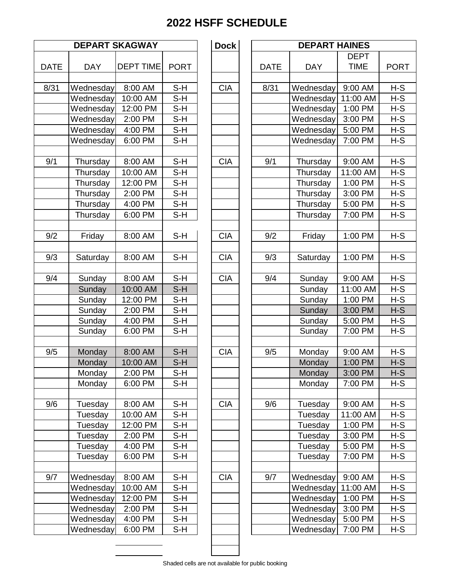|             |            | <b>DEPART SKAGWAY</b> |             | <b>Dock</b> |             | <b>DEPA</b>   |
|-------------|------------|-----------------------|-------------|-------------|-------------|---------------|
| <b>DATE</b> | <b>DAY</b> | <b>DEPT TIME</b>      | <b>PORT</b> |             | <b>DATE</b> | <b>DAY</b>    |
| 8/31        | Wednesday  | 8:00 AM               | $S-H$       | <b>CIA</b>  | 8/31        | Wednes        |
|             | Wednesday  | 10:00 AM              | $S-H$       |             |             | Wednes        |
|             | Wednesday  | 12:00 PM              | $S-H$       |             |             | Wednes        |
|             | Wednesday  | 2:00 PM               | $S-H$       |             |             | Wednes        |
|             | Wednesday  | 4:00 PM               | $S-H$       |             |             | Wednes        |
|             | Wednesday  | 6:00 PM               | $S-H$       |             |             | Wednes        |
| 9/1         | Thursday   | 8:00 AM               | $S-H$       | <b>CIA</b>  | 9/1         | <b>Thursd</b> |
|             | Thursday   | 10:00 AM              | $S-H$       |             |             | <b>Thursd</b> |
|             | Thursday   | 12:00 PM              | $S-H$       |             |             | <b>Thursd</b> |
|             | Thursday   | 2:00 PM               | $S-H$       |             |             | <b>Thursd</b> |
|             | Thursday   | 4:00 PM               | S-H         |             |             | <b>Thursd</b> |
|             | Thursday   | 6:00 PM               | $S-H$       |             |             | <b>Thursd</b> |
| 9/2         | Friday     | 8:00 AM               | $S-H$       | <b>CIA</b>  | 9/2         | Frida         |
| 9/3         | Saturday   | 8:00 AM               | $S-H$       | <b>CIA</b>  | 9/3         | Saturd        |
|             |            |                       |             |             |             |               |
| 9/4         | Sunday     | 8:00 AM               | $S-H$       | <b>CIA</b>  | 9/4         | Sunda         |
|             | Sunday     | 10:00 AM              | $S-H$       |             |             | Sunda         |
|             | Sunday     | 12:00 PM              | $S-H$       |             |             | Sunda         |
|             | Sunday     | 2:00 PM               | $S-H$       |             |             | Sunda         |
|             | Sunday     | 4:00 PM               | $S-H$       |             |             | Sunda         |
|             | Sunday     | 6:00 PM               | $S-H$       |             |             | Sunda         |
| 9/5         | Monday     | 8:00 AM               | $S-H$       | <b>CIA</b>  | 9/5         | Monda         |
|             | Monday     | 10:00 AM              | $S-H$       |             |             | Monda         |
|             | Monday     | 2:00 PM               | $S-H$       |             |             | Monda         |
|             | Monday     | 6:00 PM               | S-H         |             |             | Monda         |
| 9/6         | Tuesday    | 8:00 AM               | $S-H$       | <b>CIA</b>  | 9/6         | Tuesda        |
|             | Tuesday    | 10:00 AM              | S-H         |             |             | Tuesda        |
|             | Tuesday    | 12:00 PM              | S-H         |             |             | Tuesda        |
|             | Tuesday    | 2:00 PM               | S-H         |             |             | Tuesda        |
|             | Tuesday    | 4:00 PM               | S-H         |             |             | Tuesda        |
|             | Tuesday    | 6:00 PM               | $S-H$       |             |             | Tuesda        |
| 9/7         | Wednesday  | 8:00 AM               | S-H         | <b>CIA</b>  | 9/7         | Wednes        |
|             | Wednesday  | 10:00 AM              | $S-H$       |             |             | Wednes        |
|             | Wednesday  | 12:00 PM              | S-H         |             |             | Wednes        |
|             | Wednesday  | 2:00 PM               | S-H         |             |             | Wednes        |
|             | Wednesday  | 4:00 PM               | $S-H$       |             |             | Wednes        |
|             | Wednesday  | 6:00 PM               | S-H         |             |             | Wednes        |

|             | <b>DEPART SKAGWAY</b> |                  | <b>Dock</b> | <b>DEPART HAINES</b> |             |            |             |             |
|-------------|-----------------------|------------------|-------------|----------------------|-------------|------------|-------------|-------------|
|             |                       |                  |             |                      |             |            | <b>DEPT</b> |             |
| <b>DATE</b> | <b>DAY</b>            | <b>DEPT TIME</b> | <b>PORT</b> |                      | <b>DATE</b> | <b>DAY</b> | <b>TIME</b> | <b>PORT</b> |
| 8/31        | Wednesday             | 8:00 AM          | $S-H$       | <b>CIA</b>           | 8/31        | Wednesday  | 9:00 AM     | $H-S$       |
|             | Wednesday             | 10:00 AM         | $S-H$       |                      |             | Wednesday  | 11:00 AM    | $H-S$       |
|             | Wednesday             | 12:00 PM         | S-H         |                      |             | Wednesday  | 1:00 PM     | $H-S$       |
|             | Wednesday             | 2:00 PM          | $S-H$       |                      |             | Wednesday  | 3:00 PM     | $H-S$       |
|             | Wednesday             | 4:00 PM          | $S-H$       |                      |             | Wednesday  | 5:00 PM     | $H-S$       |
|             | Wednesday             | 6:00 PM          | $S-H$       |                      |             | Wednesday  | 7:00 PM     | $H-S$       |
|             |                       |                  |             |                      |             |            |             |             |
| 9/1         | Thursday              | 8:00 AM          | $S-H$       | <b>CIA</b>           | 9/1         | Thursday   | 9:00 AM     | $H-S$       |
|             | Thursday              | 10:00 AM         | $S-H$       |                      |             | Thursday   | 11:00 AM    | $H-S$       |
|             | Thursday              | 12:00 PM         | $S-H$       |                      |             | Thursday   | 1:00 PM     | $H-S$       |
|             | Thursday              | 2:00 PM          | $S-H$       |                      |             | Thursday   | 3:00 PM     | $H-S$       |
|             | Thursday              | 4:00 PM          | $S-H$       |                      |             | Thursday   | 5:00 PM     | $H-S$       |
|             | Thursday              | 6:00 PM          | $S-H$       |                      |             | Thursday   | 7:00 PM     | $H-S$       |
| 9/2         | Friday                | 8:00 AM          | $S-H$       | <b>CIA</b>           | 9/2         | Friday     | 1:00 PM     | $H-S$       |
|             |                       |                  |             |                      |             |            |             |             |
| 9/3         | Saturday              | 8:00 AM          | $S-H$       | <b>CIA</b>           | 9/3         | Saturday   | 1:00 PM     | $H-S$       |
|             |                       |                  |             |                      |             |            |             |             |
| 9/4         | Sunday                | 8:00 AM          | $S-H$       | <b>CIA</b>           | 9/4         | Sunday     | 9:00 AM     | $H-S$       |
|             | Sunday                | 10:00 AM         | $S-H$       |                      |             | Sunday     | 11:00 AM    | $H-S$       |
|             | Sunday                | 12:00 PM         | $S-H$       |                      |             | Sunday     | 1:00 PM     | $H-S$       |
|             | Sunday                | 2:00 PM          | $S-H$       |                      |             | Sunday     | 3:00 PM     | $H-S$       |
|             | Sunday                | 4:00 PM          | $S-H$       |                      |             | Sunday     | 5:00 PM     | $H-S$       |
|             | Sunday                | 6:00 PM          | $S-H$       |                      |             | Sunday     | 7:00 PM     | $H-S$       |
|             |                       |                  |             |                      |             |            |             |             |
| 9/5         | Monday                | 8:00 AM          | $S-H$       | <b>CIA</b>           | 9/5         | Monday     | 9:00 AM     | $H-S$       |
|             | Monday                | 10:00 AM         | S-H         |                      |             | Monday     | 1:00 PM     | $H-S$       |
|             | Monday                | 2:00 PM          | S-H         |                      |             | Monday     | 3:00 PM     | $H-S$       |
|             | Monday                | 6:00 PM          | $S-H$       |                      |             | Monday     | 7:00 PM     | $H-S$       |
| 9/6         | Tuesday               | 8:00 AM          | S-H         | <b>CIA</b>           | 9/6         | Tuesday    | 9:00 AM     | $H-S$       |
|             | Tuesday               | 10:00 AM         | $S-H$       |                      |             | Tuesday    | 11:00 AM    | $H-S$       |
|             | Tuesday               | 12:00 PM         | S-H         |                      |             | Tuesday    | 1:00 PM     | $H-S$       |
|             | Tuesday               | 2:00 PM          | S-H         |                      |             | Tuesday    | 3:00 PM     | $H-S$       |
|             | Tuesday               | 4:00 PM          | $S-H$       |                      |             | Tuesday    | 5:00 PM     | $H-S$       |
|             | Tuesday               | 6:00 PM          | S-H         |                      |             | Tuesday    | 7:00 PM     | H-S         |
|             |                       |                  |             |                      |             |            |             |             |
| 9/7         | Wednesday             | 8:00 AM          | $S-H$       | <b>CIA</b>           | 9/7         | Wednesday  | 9:00 AM     | $H-S$       |
|             | Wednesday             | 10:00 AM         | S-H         |                      |             | Wednesday  | 11:00 AM    | H-S         |
|             | Wednesday             | 12:00 PM         | $S-H$       |                      |             | Wednesday  | 1:00 PM     | $H-S$       |
|             | Wednesday             | 2:00 PM          | $S-H$       |                      |             | Wednesday  | 3:00 PM     | $H-S$       |
|             | Wednesday             | 4:00 PM          | S-H         |                      |             | Wednesday  | 5:00 PM     | H-S         |
|             | Wednesday             | 6:00 PM          | S-H         |                      |             | Wednesday  | 7:00 PM     | $H-S$       |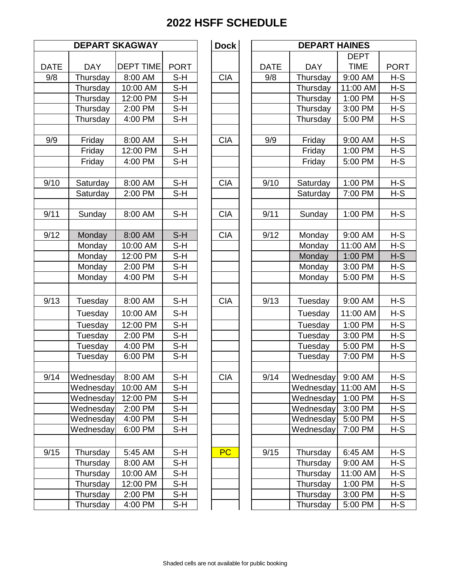| <b>DEPART SKAGWAY</b> |                      |                  |             | <b>Dock</b> | <b>DEPA</b> |               |  |
|-----------------------|----------------------|------------------|-------------|-------------|-------------|---------------|--|
| <b>DATE</b>           | <b>DAY</b>           | <b>DEPT TIME</b> | <b>PORT</b> |             | <b>DATE</b> | <b>DAY</b>    |  |
| 9/8                   | Thursday             | 8:00 AM          | S-H         | <b>CIA</b>  | 9/8         | Thursd        |  |
|                       | Thursday             | 10:00 AM         | $S-H$       |             |             | <b>Thursd</b> |  |
|                       | Thursday             | 12:00 PM         | $S-H$       |             |             | <b>Thursd</b> |  |
|                       |                      | 2:00 PM          | $S-H$       |             |             | <b>Thursd</b> |  |
|                       | Thursday<br>Thursday | 4:00 PM          | $S-H$       |             |             |               |  |
|                       |                      |                  |             |             |             | <b>Thursd</b> |  |
| 9/9                   | Friday               | 8:00 AM          | S-H         | <b>CIA</b>  | 9/9         | Frida         |  |
|                       | Friday               | 12:00 PM         | $S-H$       |             |             | Frida         |  |
|                       | Friday               | 4:00 PM          | $S-H$       |             |             | Frida         |  |
| 9/10                  | Saturday             | 8:00 AM          | $S-H$       | <b>CIA</b>  | 9/10        | Saturd        |  |
|                       | Saturday             | 2:00 PM          | $S-H$       |             |             | Saturd        |  |
|                       |                      |                  |             |             |             |               |  |
| 9/11                  | Sunday               | 8:00 AM          | $S-H$       | <b>CIA</b>  | 9/11        | Sunda         |  |
| 9/12                  | Monday               | 8:00 AM          | $S-H$       | <b>CIA</b>  | 9/12        | Monda         |  |
|                       | Monday               | 10:00 AM         | S-H         |             |             | Monda         |  |
|                       | Monday               | 12:00 PM         | S-H         |             |             | Monda         |  |
|                       | Monday               | 2:00 PM          | $S-H$       |             |             | Monda         |  |
|                       | Monday               | 4:00 PM          | S-H         |             |             | Monda         |  |
|                       |                      |                  |             |             |             |               |  |
| 9/13                  | Tuesday              | 8:00 AM          | $S-H$       | <b>CIA</b>  | 9/13        | Tuesda        |  |
|                       | Tuesday              | 10:00 AM         | S-H         |             |             | Tuesda        |  |
|                       | Tuesday              | 12:00 PM         | S-H         |             |             | Tuesda        |  |
|                       | Tuesday              | 2:00 PM          | $S-H$       |             |             | Tuesda        |  |
|                       | Tuesday              | 4:00 PM          | $S-H$       |             |             | Tuesda        |  |
|                       | Tuesday              | 6:00 PM          | $S-H$       |             |             | Tuesda        |  |
| 9/14                  | Wednesday            | 8:00 AM          | S-H         | <b>CIA</b>  | 9/14        | Wednes        |  |
|                       | Wednesday            | 10:00 AM         | S-H         |             |             | Wednes        |  |
|                       | Wednesday            | 12:00 PM         | S-H         |             |             | Wednes        |  |
|                       | Wednesday            | 2:00 PM          | $S-H$       |             |             | Wednes        |  |
|                       | Wednesday            | 4:00 PM          | S-H         |             |             | Wednes        |  |
|                       | Wednesday            | 6:00 PM          | S-H         |             |             | Wednes        |  |
| 9/15                  | Thursday             | 5:45 AM          | S-H         | PC          | 9/15        | <b>Thursd</b> |  |
|                       | Thursday             | 8:00 AM          | S-H         |             |             | <b>Thursd</b> |  |
|                       | Thursday             | 10:00 AM         | S-H         |             |             | <b>Thursd</b> |  |
|                       | Thursday             | 12:00 PM         | S-H         |             |             | <b>Thursd</b> |  |
|                       | Thursday             | 2:00 PM          | S-H         |             |             | <b>Thursd</b> |  |
|                       | Thursday             | 4:00 PM          | S-H         |             |             | <b>Thursd</b> |  |
|                       |                      |                  |             |             |             |               |  |

|             | <b>DEPART SKAGWAY</b><br><b>Dock</b><br><b>DEPART HAINES</b> |                  |             |  |            |  |             |            |             |             |
|-------------|--------------------------------------------------------------|------------------|-------------|--|------------|--|-------------|------------|-------------|-------------|
|             |                                                              |                  |             |  |            |  |             |            | <b>DEPT</b> |             |
| <b>DATE</b> | <b>DAY</b>                                                   | <b>DEPT TIME</b> | <b>PORT</b> |  |            |  | <b>DATE</b> | <b>DAY</b> | <b>TIME</b> | <b>PORT</b> |
| 9/8         | Thursday                                                     | 8:00 AM          | $S-H$       |  | <b>CIA</b> |  | 9/8         | Thursday   | 9:00 AM     | $H-S$       |
|             | Thursday                                                     | 10:00 AM         | $S-H$       |  |            |  |             | Thursday   | 11:00 AM    | $H-S$       |
|             | Thursday                                                     | 12:00 PM         | S-H         |  |            |  |             | Thursday   | 1:00 PM     | $H-S$       |
|             | Thursday                                                     | 2:00 PM          | $S-H$       |  |            |  |             | Thursday   | 3:00 PM     | $H-S$       |
|             | Thursday                                                     | 4:00 PM          | $S-H$       |  |            |  |             | Thursday   | 5:00 PM     | $H-S$       |
|             |                                                              |                  |             |  |            |  |             |            |             |             |
| 9/9         | Friday                                                       | 8:00 AM          | $S-H$       |  | <b>CIA</b> |  | 9/9         | Friday     | 9:00 AM     | $H-S$       |
|             | Friday                                                       | 12:00 PM         | $S-H$       |  |            |  |             | Friday     | 1:00 PM     | $H-S$       |
|             | Friday                                                       | 4:00 PM          | $S-H$       |  |            |  |             | Friday     | 5:00 PM     | $H-S$       |
|             |                                                              |                  |             |  |            |  |             |            |             |             |
| 9/10        | Saturday                                                     | 8:00 AM          | $S-H$       |  | <b>CIA</b> |  | 9/10        | Saturday   | 1:00 PM     | $H-S$       |
|             | Saturday                                                     | 2:00 PM          | $S-H$       |  |            |  |             | Saturday   | 7:00 PM     | $H-S$       |
|             |                                                              |                  |             |  |            |  |             |            |             |             |
| 9/11        | Sunday                                                       | 8:00 AM          | $S-H$       |  | <b>CIA</b> |  | 9/11        | Sunday     | $1:00$ PM   | $H-S$       |
|             |                                                              |                  |             |  |            |  |             |            |             |             |
| 9/12        | Monday                                                       | 8:00 AM          | $S-H$       |  | <b>CIA</b> |  | 9/12        | Monday     | 9:00 AM     | $H-S$       |
|             | Monday                                                       | 10:00 AM         | $S-H$       |  |            |  |             | Monday     | 11:00 AM    | $H-S$       |
|             | Monday                                                       | 12:00 PM         | $S-H$       |  |            |  |             | Monday     | 1:00 PM     | $H-S$       |
|             | Monday                                                       | 2:00 PM          | $S-H$       |  |            |  |             | Monday     | 3:00 PM     | $H-S$       |
|             | Monday                                                       | 4:00 PM          | $S-H$       |  |            |  |             | Monday     | 5:00 PM     | $H-S$       |
|             |                                                              |                  |             |  |            |  |             |            |             |             |
| 9/13        | Tuesday                                                      | 8:00 AM          | $S-H$       |  | <b>CIA</b> |  | 9/13        | Tuesday    | 9:00 AM     | $H-S$       |
|             | Tuesday                                                      | 10:00 AM         | $S-H$       |  |            |  |             | Tuesday    | 11:00 AM    | $H-S$       |
|             | Tuesday                                                      | 12:00 PM         | $S-H$       |  |            |  |             | Tuesday    | 1:00 PM     | $H-S$       |
|             | Tuesday                                                      | 2:00 PM          | $S-H$       |  |            |  |             | Tuesday    | 3:00 PM     | $H-S$       |
|             | Tuesday                                                      | 4:00 PM          | $S-H$       |  |            |  |             | Tuesday    | 5:00 PM     | $H-S$       |
|             | Tuesday                                                      | 6:00 PM          | $S-H$       |  |            |  |             | Tuesday    | 7:00 PM     | $H-S$       |
|             |                                                              |                  |             |  |            |  |             |            |             |             |
| 9/14        | Wednesday                                                    | 8:00 AM          | S-H         |  | <b>CIA</b> |  | 9/14        | Wednesday  | 9:00 AM     | H-S         |
|             | Wednesday                                                    | 10:00 AM         | S-H         |  |            |  |             | Wednesday  | 11:00 AM    | H-S         |
|             | Wednesday                                                    | 12:00 PM         | S-H         |  |            |  |             | Wednesday  | 1:00 PM     | H-S         |
|             | Wednesday                                                    | 2:00 PM          | S-H         |  |            |  |             | Wednesday  | 3:00 PM     | H-S         |
|             | Wednesday                                                    | 4:00 PM          | S-H         |  |            |  |             | Wednesday  | 5:00 PM     | $H-S$       |
|             | Wednesday                                                    | 6:00 PM          | S-H         |  |            |  |             | Wednesday  | 7:00 PM     | H-S         |
|             |                                                              |                  |             |  |            |  |             |            |             |             |
| 9/15        | Thursday                                                     | 5:45 AM          | S-H         |  | <b>PC</b>  |  | 9/15        | Thursday   | 6:45 AM     | H-S         |
|             | Thursday                                                     | 8:00 AM          | S-H         |  |            |  |             | Thursday   | 9:00 AM     | $H-S$       |
|             | Thursday                                                     | 10:00 AM         | S-H         |  |            |  |             | Thursday   | 11:00 AM    | H-S         |
|             | Thursday                                                     | 12:00 PM         | S-H         |  |            |  |             | Thursday   | 1:00 PM     | H-S         |
|             | Thursday                                                     | 2:00 PM          | S-H         |  |            |  |             | Thursday   | 3:00 PM     | $H-S$       |
|             | Thursday                                                     | 4:00 PM          | S-H         |  |            |  |             | Thursday   | 5:00 PM     | H-S         |